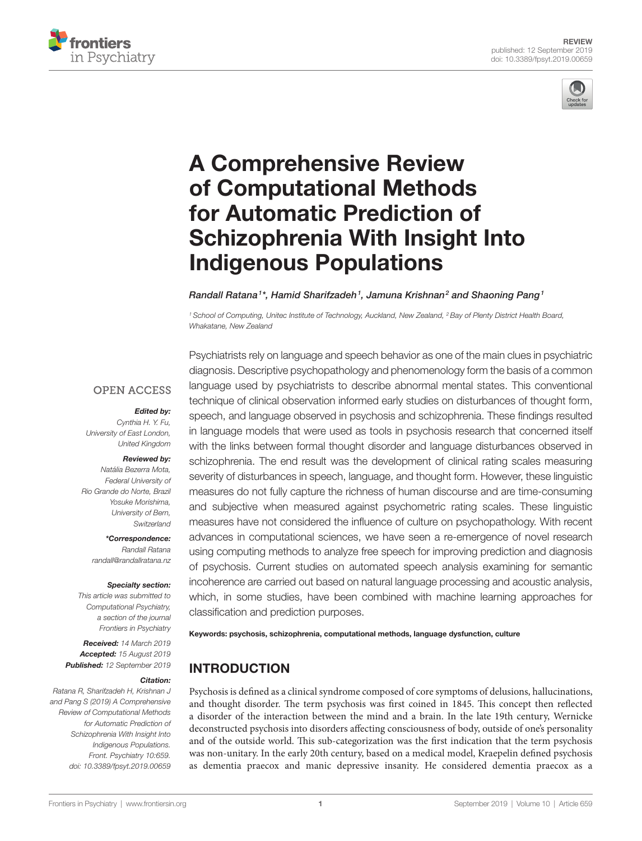

# [A Comprehensive Review](https://www.frontiersin.org/article/10.3389/fpsyt.2019.00659/full)  [of Computational Methods](https://www.frontiersin.org/article/10.3389/fpsyt.2019.00659/full)  [for Automatic Prediction of](https://www.frontiersin.org/article/10.3389/fpsyt.2019.00659/full)  [Schizophrenia With Insight Into](https://www.frontiersin.org/article/10.3389/fpsyt.2019.00659/full)  [Indigenous Populations](https://www.frontiersin.org/article/10.3389/fpsyt.2019.00659/full)

*[Randall Ratana](https://loop.frontiersin.org/people/703546)1\*, [Hamid Sharifzadeh](https://loop.frontiersin.org/people/614764)1, Jamuna Krishnan2 and Shaoning Pang1*

*1 School of Computing, Unitec Institute of Technology, Auckland, New Zealand, 2 Bay of Plenty District Health Board, Whakatane, New Zealand*

## **OPEN ACCESS**

**irontiers** in Psychiatry

#### *Edited by:*

*Cynthia H. Y. Fu, University of East London, United Kingdom*

#### *Reviewed by:*

*Natália Bezerra Mota, Federal University of Rio Grande do Norte, Brazil Yosuke Morishima, University of Bern, Switzerland*

> *\*Correspondence: Randall Ratana [randall@randallratana.nz](mailto:randall@randallratana.nz)*

#### *Specialty section:*

*This article was submitted to Computational Psychiatry, a section of the journal Frontiers in Psychiatry*

*Received: 14 March 2019 Accepted: 15 August 2019 Published: 12 September 2019*

#### *Citation:*

*Ratana R, Sharifzadeh H, Krishnan J and Pang S (2019) A Comprehensive Review of Computational Methods for Automatic Prediction of Schizophrenia With Insight Into Indigenous Populations. Front. Psychiatry 10:659. doi: [10.3389/fpsyt.2019.00659](https://doi.org/10.3389/fpsyt.2019.00659)*

Psychiatrists rely on language and speech behavior as one of the main clues in psychiatric diagnosis. Descriptive psychopathology and phenomenology form the basis of a common language used by psychiatrists to describe abnormal mental states. This conventional technique of clinical observation informed early studies on disturbances of thought form, speech, and language observed in psychosis and schizophrenia. These findings resulted in language models that were used as tools in psychosis research that concerned itself with the links between formal thought disorder and language disturbances observed in schizophrenia. The end result was the development of clinical rating scales measuring severity of disturbances in speech, language, and thought form. However, these linguistic measures do not fully capture the richness of human discourse and are time-consuming and subjective when measured against psychometric rating scales. These linguistic measures have not considered the influence of culture on psychopathology. With recent advances in computational sciences, we have seen a re-emergence of novel research using computing methods to analyze free speech for improving prediction and diagnosis of psychosis. Current studies on automated speech analysis examining for semantic incoherence are carried out based on natural language processing and acoustic analysis, which, in some studies, have been combined with machine learning approaches for classification and prediction purposes.

Keywords: psychosis, schizophrenia, computational methods, language dysfunction, culture

# INTRODUCTION

Psychosis is defined as a clinical syndrome composed of core symptoms of delusions, hallucinations, and thought disorder. The term psychosis was first coined in 1845. This concept then reflected a disorder of the interaction between the mind and a brain. In the late 19th century, Wernicke deconstructed psychosis into disorders affecting consciousness of body, outside of one's personality and of the outside world. This sub-categorization was the first indication that the term psychosis was non-unitary. In the early 20th century, based on a medical model, Kraepelin defined psychosis as dementia praecox and manic depressive insanity. He considered dementia praecox as a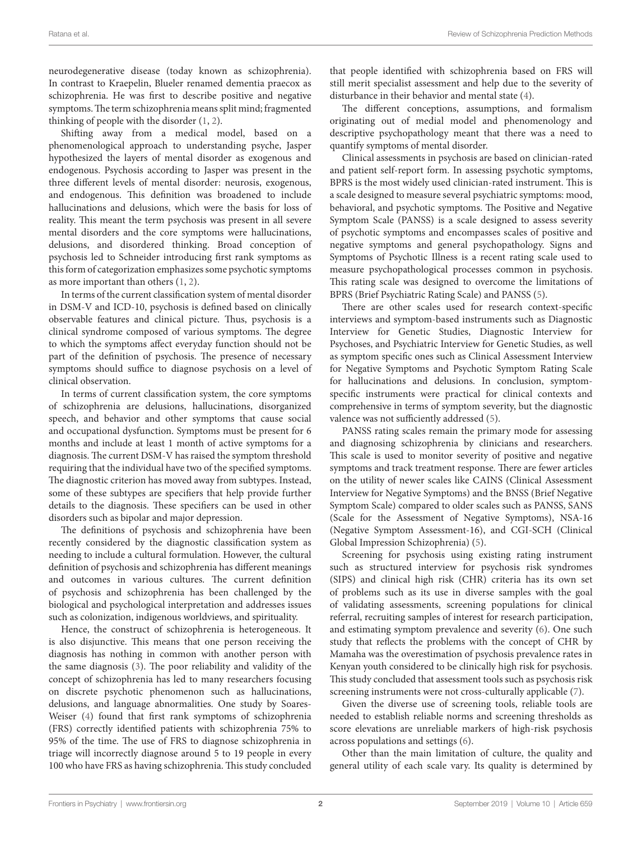neurodegenerative disease (today known as schizophrenia). In contrast to Kraepelin, Blueler renamed dementia praecox as schizophrenia. He was first to describe positive and negative symptoms. The term schizophrenia means split mind; fragmented thinking of people with the disorder ([1](#page-12-0), [2](#page-12-1)).

Shifting away from a medical model, based on a phenomenological approach to understanding psyche, Jasper hypothesized the layers of mental disorder as exogenous and endogenous. Psychosis according to Jasper was present in the three different levels of mental disorder: neurosis, exogenous, and endogenous. This definition was broadened to include hallucinations and delusions, which were the basis for loss of reality. This meant the term psychosis was present in all severe mental disorders and the core symptoms were hallucinations, delusions, and disordered thinking. Broad conception of psychosis led to Schneider introducing first rank symptoms as this form of categorization emphasizes some psychotic symptoms as more important than others [\(1,](#page-12-0) [2\)](#page-12-1).

In terms of the current classification system of mental disorder in DSM-V and ICD-10, psychosis is defined based on clinically observable features and clinical picture. Thus, psychosis is a clinical syndrome composed of various symptoms. The degree to which the symptoms affect everyday function should not be part of the definition of psychosis. The presence of necessary symptoms should suffice to diagnose psychosis on a level of clinical observation.

In terms of current classification system, the core symptoms of schizophrenia are delusions, hallucinations, disorganized speech, and behavior and other symptoms that cause social and occupational dysfunction. Symptoms must be present for 6 months and include at least 1 month of active symptoms for a diagnosis. The current DSM-V has raised the symptom threshold requiring that the individual have two of the specified symptoms. The diagnostic criterion has moved away from subtypes. Instead, some of these subtypes are specifiers that help provide further details to the diagnosis. These specifiers can be used in other disorders such as bipolar and major depression.

The definitions of psychosis and schizophrenia have been recently considered by the diagnostic classification system as needing to include a cultural formulation. However, the cultural definition of psychosis and schizophrenia has different meanings and outcomes in various cultures. The current definition of psychosis and schizophrenia has been challenged by the biological and psychological interpretation and addresses issues such as colonization, indigenous worldviews, and spirituality.

Hence, the construct of schizophrenia is heterogeneous. It is also disjunctive. This means that one person receiving the diagnosis has nothing in common with another person with the same diagnosis [\(3\)](#page-12-2). The poor reliability and validity of the concept of schizophrenia has led to many researchers focusing on discrete psychotic phenomenon such as hallucinations, delusions, and language abnormalities. One study by Soares-Weiser ([4\)](#page-12-3) found that first rank symptoms of schizophrenia (FRS) correctly identified patients with schizophrenia 75% to 95% of the time. The use of FRS to diagnose schizophrenia in triage will incorrectly diagnose around 5 to 19 people in every 100 who have FRS as having schizophrenia. This study concluded

that people identified with schizophrenia based on FRS will still merit specialist assessment and help due to the severity of disturbance in their behavior and mental state ([4](#page-12-3)).

The different conceptions, assumptions, and formalism originating out of medial model and phenomenology and descriptive psychopathology meant that there was a need to quantify symptoms of mental disorder.

Clinical assessments in psychosis are based on clinician-rated and patient self-report form. In assessing psychotic symptoms, BPRS is the most widely used clinician-rated instrument. This is a scale designed to measure several psychiatric symptoms: mood, behavioral, and psychotic symptoms. The Positive and Negative Symptom Scale (PANSS) is a scale designed to assess severity of psychotic symptoms and encompasses scales of positive and negative symptoms and general psychopathology. Signs and Symptoms of Psychotic Illness is a recent rating scale used to measure psychopathological processes common in psychosis. This rating scale was designed to overcome the limitations of BPRS (Brief Psychiatric Rating Scale) and PANSS ([5\)](#page-12-4).

There are other scales used for research context-specific interviews and symptom-based instruments such as Diagnostic Interview for Genetic Studies, Diagnostic Interview for Psychoses, and Psychiatric Interview for Genetic Studies, as well as symptom specific ones such as Clinical Assessment Interview for Negative Symptoms and Psychotic Symptom Rating Scale for hallucinations and delusions. In conclusion, symptomspecific instruments were practical for clinical contexts and comprehensive in terms of symptom severity, but the diagnostic valence was not sufficiently addressed [\(5\)](#page-12-4).

PANSS rating scales remain the primary mode for assessing and diagnosing schizophrenia by clinicians and researchers. This scale is used to monitor severity of positive and negative symptoms and track treatment response. There are fewer articles on the utility of newer scales like CAINS (Clinical Assessment Interview for Negative Symptoms) and the BNSS (Brief Negative Symptom Scale) compared to older scales such as PANSS, SANS (Scale for the Assessment of Negative Symptoms), NSA-16 (Negative Symptom Assessment-16), and CGI-SCH (Clinical Global Impression Schizophrenia) [\(5\)](#page-12-4).

Screening for psychosis using existing rating instrument such as structured interview for psychosis risk syndromes (SIPS) and clinical high risk (CHR) criteria has its own set of problems such as its use in diverse samples with the goal of validating assessments, screening populations for clinical referral, recruiting samples of interest for research participation, and estimating symptom prevalence and severity [\(6\)](#page-12-5). One such study that reflects the problems with the concept of CHR by Mamaha was the overestimation of psychosis prevalence rates in Kenyan youth considered to be clinically high risk for psychosis. This study concluded that assessment tools such as psychosis risk screening instruments were not cross-culturally applicable ([7\)](#page-12-6).

Given the diverse use of screening tools, reliable tools are needed to establish reliable norms and screening thresholds as score elevations are unreliable markers of high-risk psychosis across populations and settings [\(6\)](#page-12-5).

Other than the main limitation of culture, the quality and general utility of each scale vary. Its quality is determined by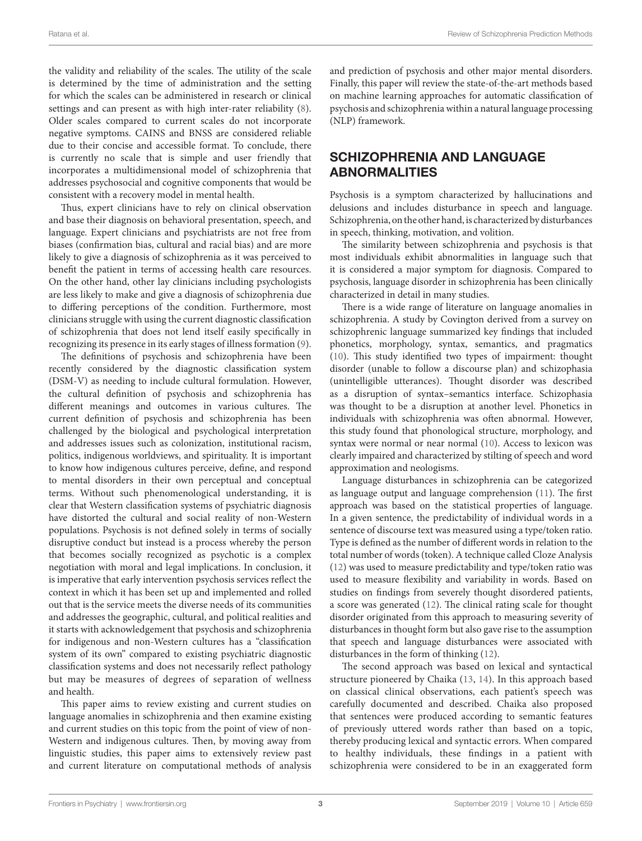the validity and reliability of the scales. The utility of the scale is determined by the time of administration and the setting for which the scales can be administered in research or clinical settings and can present as with high inter-rater reliability ([8](#page-12-7)). Older scales compared to current scales do not incorporate negative symptoms. CAINS and BNSS are considered reliable due to their concise and accessible format. To conclude, there is currently no scale that is simple and user friendly that incorporates a multidimensional model of schizophrenia that addresses psychosocial and cognitive components that would be consistent with a recovery model in mental health.

Thus, expert clinicians have to rely on clinical observation and base their diagnosis on behavioral presentation, speech, and language. Expert clinicians and psychiatrists are not free from biases (confirmation bias, cultural and racial bias) and are more likely to give a diagnosis of schizophrenia as it was perceived to benefit the patient in terms of accessing health care resources. On the other hand, other lay clinicians including psychologists are less likely to make and give a diagnosis of schizophrenia due to differing perceptions of the condition. Furthermore, most clinicians struggle with using the current diagnostic classification of schizophrenia that does not lend itself easily specifically in recognizing its presence in its early stages of illness formation ([9](#page-12-8)).

The definitions of psychosis and schizophrenia have been recently considered by the diagnostic classification system (DSM-V) as needing to include cultural formulation. However, the cultural definition of psychosis and schizophrenia has different meanings and outcomes in various cultures. The current definition of psychosis and schizophrenia has been challenged by the biological and psychological interpretation and addresses issues such as colonization, institutional racism, politics, indigenous worldviews, and spirituality. It is important to know how indigenous cultures perceive, define, and respond to mental disorders in their own perceptual and conceptual terms. Without such phenomenological understanding, it is clear that Western classification systems of psychiatric diagnosis have distorted the cultural and social reality of non-Western populations. Psychosis is not defined solely in terms of socially disruptive conduct but instead is a process whereby the person that becomes socially recognized as psychotic is a complex negotiation with moral and legal implications. In conclusion, it is imperative that early intervention psychosis services reflect the context in which it has been set up and implemented and rolled out that is the service meets the diverse needs of its communities and addresses the geographic, cultural, and political realities and it starts with acknowledgement that psychosis and schizophrenia for indigenous and non-Western cultures has a "classification system of its own" compared to existing psychiatric diagnostic classification systems and does not necessarily reflect pathology but may be measures of degrees of separation of wellness and health.

This paper aims to review existing and current studies on language anomalies in schizophrenia and then examine existing and current studies on this topic from the point of view of non-Western and indigenous cultures. Then, by moving away from linguistic studies, this paper aims to extensively review past and current literature on computational methods of analysis and prediction of psychosis and other major mental disorders. Finally, this paper will review the state-of-the-art methods based on machine learning approaches for automatic classification of psychosis and schizophrenia within a natural language processing (NLP) framework.

# SCHIZOPHRENIA AND LANGUAGE ABNORMALITIES

Psychosis is a symptom characterized by hallucinations and delusions and includes disturbance in speech and language. Schizophrenia, on the other hand, is characterized by disturbances in speech, thinking, motivation, and volition.

The similarity between schizophrenia and psychosis is that most individuals exhibit abnormalities in language such that it is considered a major symptom for diagnosis. Compared to psychosis, language disorder in schizophrenia has been clinically characterized in detail in many studies.

There is a wide range of literature on language anomalies in schizophrenia. A study by Covington derived from a survey on schizophrenic language summarized key findings that included phonetics, morphology, syntax, semantics, and pragmatics [\(10](#page-12-9)). This study identified two types of impairment: thought disorder (unable to follow a discourse plan) and schizophasia (unintelligible utterances). Thought disorder was described as a disruption of syntax–semantics interface. Schizophasia was thought to be a disruption at another level. Phonetics in individuals with schizophrenia was often abnormal. However, this study found that phonological structure, morphology, and syntax were normal or near normal [\(10](#page-12-9)). Access to lexicon was clearly impaired and characterized by stilting of speech and word approximation and neologisms.

Language disturbances in schizophrenia can be categorized as language output and language comprehension [\(11](#page-12-10)). The first approach was based on the statistical properties of language. In a given sentence, the predictability of individual words in a sentence of discourse text was measured using a type/token ratio. Type is defined as the number of different words in relation to the total number of words (token). A technique called Cloze Analysis [\(12](#page-12-11)) was used to measure predictability and type/token ratio was used to measure flexibility and variability in words. Based on studies on findings from severely thought disordered patients, a score was generated [\(12](#page-12-11)). The clinical rating scale for thought disorder originated from this approach to measuring severity of disturbances in thought form but also gave rise to the assumption that speech and language disturbances were associated with disturbances in the form of thinking ([12](#page-12-11)).

The second approach was based on lexical and syntactical structure pioneered by Chaika ([13,](#page-12-12) [14](#page-12-13)). In this approach based on classical clinical observations, each patient's speech was carefully documented and described. Chaika also proposed that sentences were produced according to semantic features of previously uttered words rather than based on a topic, thereby producing lexical and syntactic errors. When compared to healthy individuals, these findings in a patient with schizophrenia were considered to be in an exaggerated form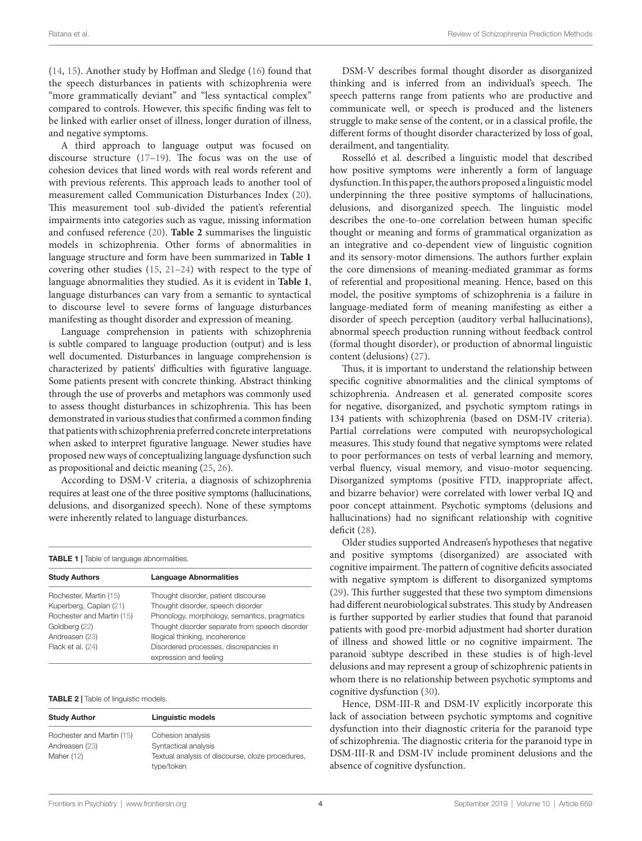[\(14,](#page-12-13) [15\)](#page-12-14). Another study by Hoffman and Sledge [\(16\)](#page-12-15) found that the speech disturbances in patients with schizophrenia were "more grammatically deviant" and "less syntactical complex" compared to controls. However, this specific finding was felt to be linked with earlier onset of illness, longer duration of illness, and negative symptoms.

A third approach to language output was focused on discourse structure [\(17](#page-12-16)[–19](#page-12-17)). The focus was on the use of cohesion devices that lined words with real words referent and with previous referents. This approach leads to another tool of measurement called Communication Disturbances Index [\(20](#page-12-18)). This measurement tool sub-divided the patient's referential impairments into categories such as vague, missing information and confused reference ([20](#page-12-18)). **[Table 2](#page-3-0)** summarises the linguistic models in schizophrenia. Other forms of abnormalities in language structure and form have been summarized in **[Table 1](#page-3-1)**  covering other studies [\(15,](#page-12-14) [21](#page-12-19)[–24\)](#page-12-20) with respect to the type of language abnormalities they studied. As it is evident in **[Table 1](#page-3-1)**, language disturbances can vary from a semantic to syntactical to discourse level to severe forms of language disturbances manifesting as thought disorder and expression of meaning.

Language comprehension in patients with schizophrenia is subtle compared to language production (output) and is less well documented. Disturbances in language comprehension is characterized by patients' difficulties with figurative language. Some patients present with concrete thinking. Abstract thinking through the use of proverbs and metaphors was commonly used to assess thought disturbances in schizophrenia. This has been demonstrated in various studies that confirmed a common finding that patients with schizophrenia preferred concrete interpretations when asked to interpret figurative language. Newer studies have proposed new ways of conceptualizing language dysfunction such as propositional and deictic meaning ([25,](#page-12-21) [26\)](#page-12-22).

According to DSM-V criteria, a diagnosis of schizophrenia requires at least one of the three positive symptoms (hallucinations, delusions, and disorganized speech). None of these symptoms were inherently related to language disturbances.

<span id="page-3-1"></span>

| <b>TABLE 1</b>   Table of language abnormalities. |                                                                  |  |
|---------------------------------------------------|------------------------------------------------------------------|--|
| <b>Study Authors</b>                              | <b>Language Abnormalities</b>                                    |  |
| Rochester, Martin (15)                            | Thought disorder, patient discourse                              |  |
| Kuperberg, Caplan (21)                            | Thought disorder, speech disorder                                |  |
| Rochester and Martin (15)                         | Phonology, morphology, semantics, pragmatics                     |  |
| Goldberg (22)                                     | Thought disorder separate from speech disorder                   |  |
| Andreasen (23)                                    | Illogical thinking, incoherence                                  |  |
| Flack et al. (24)                                 | Disordered processes, discrepancies in<br>expression and feeling |  |

<span id="page-3-0"></span>TABLE 2 | Table of linguistic models.

| <b>Study Author</b>                         | <b>Linguistic models</b>                                       |
|---------------------------------------------|----------------------------------------------------------------|
| Rochester and Martin (15)<br>Andreasen (23) | Cohesion analysis<br>Syntactical analysis                      |
| Maher $(12)$                                | Textual analysis of discourse, cloze procedures,<br>type/token |

DSM-V describes formal thought disorder as disorganized thinking and is inferred from an individual's speech. The speech patterns range from patients who are productive and communicate well, or speech is produced and the listeners struggle to make sense of the content, or in a classical profile, the different forms of thought disorder characterized by loss of goal, derailment, and tangentiality.

Rosselló et al. described a linguistic model that described how positive symptoms were inherently a form of language dysfunction. In this paper, the authors proposed a linguistic model underpinning the three positive symptoms of hallucinations, delusions, and disorganized speech. The linguistic model describes the one-to-one correlation between human specific thought or meaning and forms of grammatical organization as an integrative and co-dependent view of linguistic cognition and its sensory-motor dimensions. The authors further explain the core dimensions of meaning-mediated grammar as forms of referential and propositional meaning. Hence, based on this model, the positive symptoms of schizophrenia is a failure in language-mediated form of meaning manifesting as either a disorder of speech perception (auditory verbal hallucinations), abnormal speech production running without feedback control (formal thought disorder), or production of abnormal linguistic content (delusions) [\(27](#page-12-23)).

Thus, it is important to understand the relationship between specific cognitive abnormalities and the clinical symptoms of schizophrenia. Andreasen et al. generated composite scores for negative, disorganized, and psychotic symptom ratings in 134 patients with schizophrenia (based on DSM-IV criteria). Partial correlations were computed with neuropsychological measures. This study found that negative symptoms were related to poor performances on tests of verbal learning and memory, verbal fluency, visual memory, and visuo-motor sequencing. Disorganized symptoms (positive FTD, inappropriate affect, and bizarre behavior) were correlated with lower verbal IQ and poor concept attainment. Psychotic symptoms (delusions and hallucinations) had no significant relationship with cognitive deficit ([28\)](#page-12-24).

Older studies supported Andreasen's hypotheses that negative and positive symptoms (disorganized) are associated with cognitive impairment. The pattern of cognitive deficits associated with negative symptom is different to disorganized symptoms [\(29](#page-12-25)). This further suggested that these two symptom dimensions had different neurobiological substrates. This study by Andreasen is further supported by earlier studies that found that paranoid patients with good pre-morbid adjustment had shorter duration of illness and showed little or no cognitive impairment. The paranoid subtype described in these studies is of high-level delusions and may represent a group of schizophrenic patients in whom there is no relationship between psychotic symptoms and cognitive dysfunction ([30\)](#page-12-26).

Hence, DSM-III-R and DSM-IV explicitly incorporate this lack of association between psychotic symptoms and cognitive dysfunction into their diagnostic criteria for the paranoid type of schizophrenia. The diagnostic criteria for the paranoid type in DSM-III-R and DSM-IV include prominent delusions and the absence of cognitive dysfunction.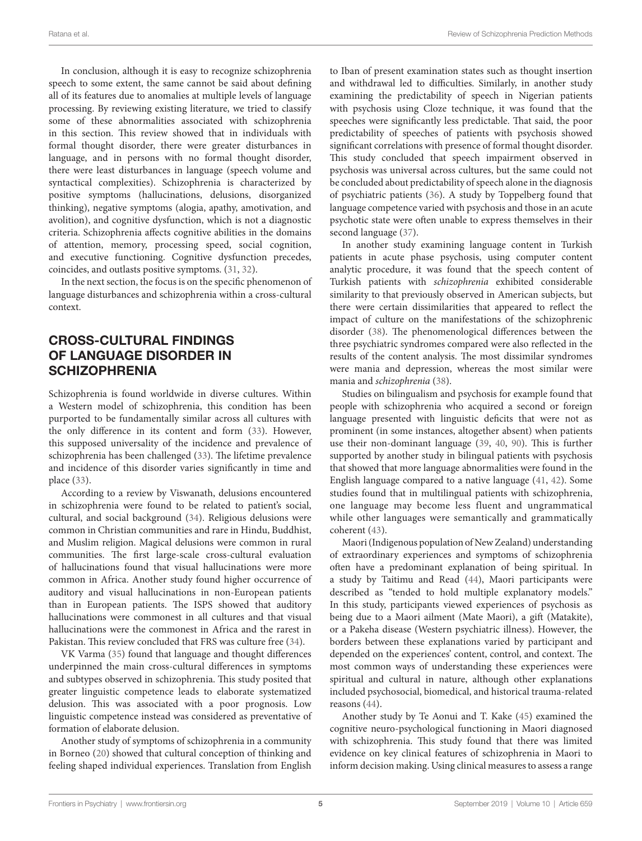In conclusion, although it is easy to recognize schizophrenia speech to some extent, the same cannot be said about defining all of its features due to anomalies at multiple levels of language processing. By reviewing existing literature, we tried to classify some of these abnormalities associated with schizophrenia in this section. This review showed that in individuals with formal thought disorder, there were greater disturbances in language, and in persons with no formal thought disorder, there were least disturbances in language (speech volume and syntactical complexities). Schizophrenia is characterized by positive symptoms (hallucinations, delusions, disorganized thinking), negative symptoms (alogia, apathy, amotivation, and avolition), and cognitive dysfunction, which is not a diagnostic criteria. Schizophrenia affects cognitive abilities in the domains of attention, memory, processing speed, social cognition, and executive functioning. Cognitive dysfunction precedes, coincides, and outlasts positive symptoms. [\(31](#page-12-29), [32\)](#page-12-30).

In the next section, the focus is on the specific phenomenon of language disturbances and schizophrenia within a cross-cultural context.

# CROSS-CULTURAL FINDINGS OF LANGUAGE DISORDER IN **SCHIZOPHRENIA**

Schizophrenia is found worldwide in diverse cultures. Within a Western model of schizophrenia, this condition has been purported to be fundamentally similar across all cultures with the only difference in its content and form [\(33\)](#page-12-31). However, this supposed universality of the incidence and prevalence of schizophrenia has been challenged [\(33](#page-12-31)). The lifetime prevalence and incidence of this disorder varies significantly in time and place [\(33](#page-12-31)).

According to a review by Viswanath, delusions encountered in schizophrenia were found to be related to patient's social, cultural, and social background [\(34](#page-12-32)). Religious delusions were common in Christian communities and rare in Hindu, Buddhist, and Muslim religion. Magical delusions were common in rural communities. The first large-scale cross-cultural evaluation of hallucinations found that visual hallucinations were more common in Africa. Another study found higher occurrence of auditory and visual hallucinations in non-European patients than in European patients. The ISPS showed that auditory hallucinations were commonest in all cultures and that visual hallucinations were the commonest in Africa and the rarest in Pakistan. This review concluded that FRS was culture free [\(34\)](#page-12-32).

VK Varma ([35\)](#page-12-33) found that language and thought differences underpinned the main cross-cultural differences in symptoms and subtypes observed in schizophrenia. This study posited that greater linguistic competence leads to elaborate systematized delusion. This was associated with a poor prognosis. Low linguistic competence instead was considered as preventative of formation of elaborate delusion.

Another study of symptoms of schizophrenia in a community in Borneo [\(20](#page-12-18)) showed that cultural conception of thinking and feeling shaped individual experiences. Translation from English to Iban of present examination states such as thought insertion and withdrawal led to difficulties. Similarly, in another study examining the predictability of speech in Nigerian patients with psychosis using Cloze technique, it was found that the speeches were significantly less predictable. That said, the poor predictability of speeches of patients with psychosis showed significant correlations with presence of formal thought disorder. This study concluded that speech impairment observed in psychosis was universal across cultures, but the same could not be concluded about predictability of speech alone in the diagnosis of psychiatric patients [\(36](#page-12-34)). A study by Toppelberg found that language competence varied with psychosis and those in an acute psychotic state were often unable to express themselves in their second language ([37\)](#page-12-35).

In another study examining language content in Turkish patients in acute phase psychosis, using computer content analytic procedure, it was found that the speech content of Turkish patients with *schizophrenia* exhibited considerable similarity to that previously observed in American subjects, but there were certain dissimilarities that appeared to reflect the impact of culture on the manifestations of the schizophrenic disorder [\(38](#page-12-36)). The phenomenological differences between the three psychiatric syndromes compared were also reflected in the results of the content analysis. The most dissimilar syndromes were mania and depression, whereas the most similar were mania and *schizophrenia* ([38\)](#page-12-36).

Studies on bilingualism and psychosis for example found that people with schizophrenia who acquired a second or foreign language presented with linguistic deficits that were not as prominent (in some instances, altogether absent) when patients use their non-dominant language [\(39](#page-12-37), [40,](#page-12-38) [90\)](#page-14-0). This is further supported by another study in bilingual patients with psychosis that showed that more language abnormalities were found in the English language compared to a native language [\(41](#page-13-0), [42](#page-13-1)). Some studies found that in multilingual patients with schizophrenia, one language may become less fluent and ungrammatical while other languages were semantically and grammatically coherent ([43\)](#page-13-2).

Maori (Indigenous population of New Zealand) understanding of extraordinary experiences and symptoms of schizophrenia often have a predominant explanation of being spiritual. In a study by Taitimu and Read [\(44\)](#page-13-3), Maori participants were described as "tended to hold multiple explanatory models." In this study, participants viewed experiences of psychosis as being due to a Maori ailment (Mate Maori), a gift (Matakite), or a Pakeha disease (Western psychiatric illness). However, the borders between these explanations varied by participant and depended on the experiences' content, control, and context. The most common ways of understanding these experiences were spiritual and cultural in nature, although other explanations included psychosocial, biomedical, and historical trauma-related reasons ([44\)](#page-13-3).

Another study by Te Aonui and T. Kake ([45\)](#page-13-4) examined the cognitive neuro-psychological functioning in Maori diagnosed with schizophrenia. This study found that there was limited evidence on key clinical features of schizophrenia in Maori to inform decision making. Using clinical measures to assess a range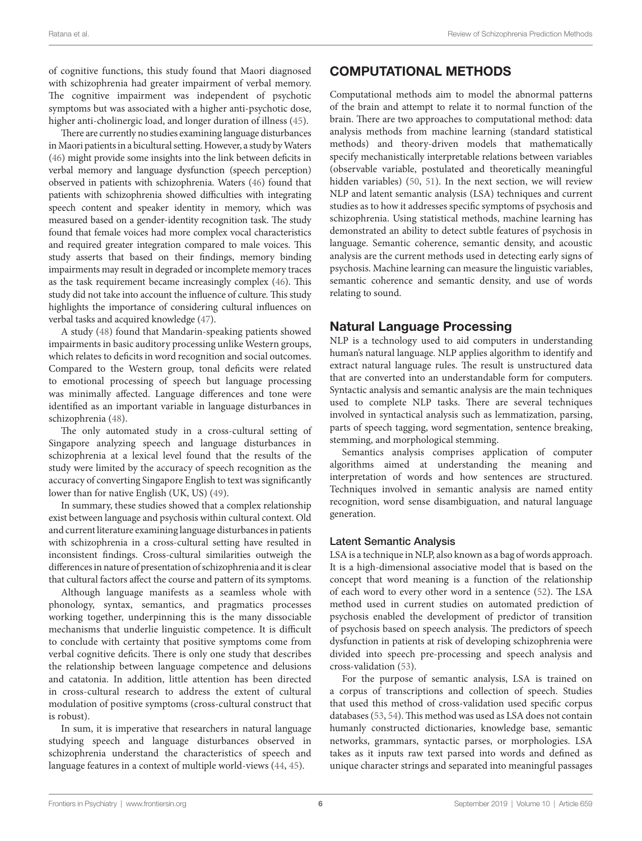of cognitive functions, this study found that Maori diagnosed with schizophrenia had greater impairment of verbal memory. The cognitive impairment was independent of psychotic symptoms but was associated with a higher anti-psychotic dose, higher anti-cholinergic load, and longer duration of illness ([45\)](#page-13-4).

There are currently no studies examining language disturbances in Maori patients in a bicultural setting. However, a study by Waters [\(46](#page-13-5)) might provide some insights into the link between deficits in verbal memory and language dysfunction (speech perception) observed in patients with schizophrenia. Waters ([46\)](#page-13-5) found that patients with schizophrenia showed difficulties with integrating speech content and speaker identity in memory, which was measured based on a gender-identity recognition task. The study found that female voices had more complex vocal characteristics and required greater integration compared to male voices. This study asserts that based on their findings, memory binding impairments may result in degraded or incomplete memory traces as the task requirement became increasingly complex [\(46](#page-13-5)). This study did not take into account the influence of culture. This study highlights the importance of considering cultural influences on verbal tasks and acquired knowledge [\(47](#page-13-6)).

A study [\(48](#page-13-7)) found that Mandarin-speaking patients showed impairments in basic auditory processing unlike Western groups, which relates to deficits in word recognition and social outcomes. Compared to the Western group, tonal deficits were related to emotional processing of speech but language processing was minimally affected. Language differences and tone were identified as an important variable in language disturbances in schizophrenia ([48\)](#page-13-7).

The only automated study in a cross-cultural setting of Singapore analyzing speech and language disturbances in schizophrenia at a lexical level found that the results of the study were limited by the accuracy of speech recognition as the accuracy of converting Singapore English to text was significantly lower than for native English (UK, US) ([49\)](#page-13-8).

In summary, these studies showed that a complex relationship exist between language and psychosis within cultural context. Old and current literature examining language disturbances in patients with schizophrenia in a cross-cultural setting have resulted in inconsistent findings. Cross-cultural similarities outweigh the differences in nature of presentation of schizophrenia and it is clear that cultural factors affect the course and pattern of its symptoms.

Although language manifests as a seamless whole with phonology, syntax, semantics, and pragmatics processes working together, underpinning this is the many dissociable mechanisms that underlie linguistic competence. It is difficult to conclude with certainty that positive symptoms come from verbal cognitive deficits. There is only one study that describes the relationship between language competence and delusions and catatonia. In addition, little attention has been directed in cross-cultural research to address the extent of cultural modulation of positive symptoms (cross-cultural construct that is robust).

In sum, it is imperative that researchers in natural language studying speech and language disturbances observed in schizophrenia understand the characteristics of speech and language features in a context of multiple world-views ([44,](#page-13-3) [45](#page-13-4)).

# COMPUTATIONAL METHODS

Computational methods aim to model the abnormal patterns of the brain and attempt to relate it to normal function of the brain. There are two approaches to computational method: data analysis methods from machine learning (standard statistical methods) and theory-driven models that mathematically specify mechanistically interpretable relations between variables (observable variable, postulated and theoretically meaningful hidden variables) ([50,](#page-13-9) [51\)](#page-13-10). In the next section, we will review NLP and latent semantic analysis (LSA) techniques and current studies as to how it addresses specific symptoms of psychosis and schizophrenia. Using statistical methods, machine learning has demonstrated an ability to detect subtle features of psychosis in language. Semantic coherence, semantic density, and acoustic analysis are the current methods used in detecting early signs of psychosis. Machine learning can measure the linguistic variables, semantic coherence and semantic density, and use of words relating to sound.

# Natural Language Processing

NLP is a technology used to aid computers in understanding human's natural language. NLP applies algorithm to identify and extract natural language rules. The result is unstructured data that are converted into an understandable form for computers. Syntactic analysis and semantic analysis are the main techniques used to complete NLP tasks. There are several techniques involved in syntactical analysis such as lemmatization, parsing, parts of speech tagging, word segmentation, sentence breaking, stemming, and morphological stemming.

Semantics analysis comprises application of computer algorithms aimed at understanding the meaning and interpretation of words and how sentences are structured. Techniques involved in semantic analysis are named entity recognition, word sense disambiguation, and natural language generation.

## Latent Semantic Analysis

LSA is a technique in NLP, also known as a bag of words approach. It is a high-dimensional associative model that is based on the concept that word meaning is a function of the relationship of each word to every other word in a sentence [\(52](#page-13-11)). The LSA method used in current studies on automated prediction of psychosis enabled the development of predictor of transition of psychosis based on speech analysis. The predictors of speech dysfunction in patients at risk of developing schizophrenia were divided into speech pre-processing and speech analysis and cross-validation ([53](#page-13-12)).

For the purpose of semantic analysis, LSA is trained on a corpus of transcriptions and collection of speech. Studies that used this method of cross-validation used specific corpus databases ([53](#page-13-12), [54](#page-13-13)). This method was used as LSA does not contain humanly constructed dictionaries, knowledge base, semantic networks, grammars, syntactic parses, or morphologies. LSA takes as it inputs raw text parsed into words and defined as unique character strings and separated into meaningful passages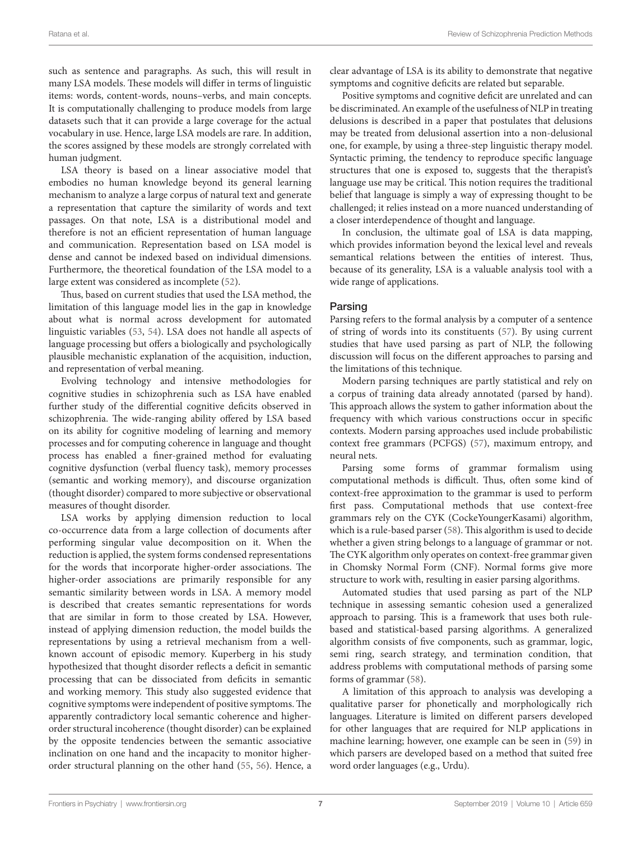such as sentence and paragraphs. As such, this will result in many LSA models. These models will differ in terms of linguistic items: words, content-words, nouns–verbs, and main concepts. It is computationally challenging to produce models from large datasets such that it can provide a large coverage for the actual vocabulary in use. Hence, large LSA models are rare. In addition, the scores assigned by these models are strongly correlated with human judgment.

LSA theory is based on a linear associative model that embodies no human knowledge beyond its general learning mechanism to analyze a large corpus of natural text and generate a representation that capture the similarity of words and text passages. On that note, LSA is a distributional model and therefore is not an efficient representation of human language and communication. Representation based on LSA model is dense and cannot be indexed based on individual dimensions. Furthermore, the theoretical foundation of the LSA model to a large extent was considered as incomplete [\(52\)](#page-13-11).

Thus, based on current studies that used the LSA method, the limitation of this language model lies in the gap in knowledge about what is normal across development for automated linguistic variables ([53,](#page-13-12) [54](#page-13-13)). LSA does not handle all aspects of language processing but offers a biologically and psychologically plausible mechanistic explanation of the acquisition, induction, and representation of verbal meaning.

Evolving technology and intensive methodologies for cognitive studies in schizophrenia such as LSA have enabled further study of the differential cognitive deficits observed in schizophrenia. The wide-ranging ability offered by LSA based on its ability for cognitive modeling of learning and memory processes and for computing coherence in language and thought process has enabled a finer-grained method for evaluating cognitive dysfunction (verbal fluency task), memory processes (semantic and working memory), and discourse organization (thought disorder) compared to more subjective or observational measures of thought disorder.

LSA works by applying dimension reduction to local co-occurrence data from a large collection of documents after performing singular value decomposition on it. When the reduction is applied, the system forms condensed representations for the words that incorporate higher-order associations. The higher-order associations are primarily responsible for any semantic similarity between words in LSA. A memory model is described that creates semantic representations for words that are similar in form to those created by LSA. However, instead of applying dimension reduction, the model builds the representations by using a retrieval mechanism from a wellknown account of episodic memory. Kuperberg in his study hypothesized that thought disorder reflects a deficit in semantic processing that can be dissociated from deficits in semantic and working memory. This study also suggested evidence that cognitive symptoms were independent of positive symptoms. The apparently contradictory local semantic coherence and higherorder structural incoherence (thought disorder) can be explained by the opposite tendencies between the semantic associative inclination on one hand and the incapacity to monitor higherorder structural planning on the other hand [\(55](#page-13-14), [56\)](#page-13-15). Hence, a

clear advantage of LSA is its ability to demonstrate that negative symptoms and cognitive deficits are related but separable.

Positive symptoms and cognitive deficit are unrelated and can be discriminated. An example of the usefulness of NLP in treating delusions is described in a paper that postulates that delusions may be treated from delusional assertion into a non-delusional one, for example, by using a three-step linguistic therapy model. Syntactic priming, the tendency to reproduce specific language structures that one is exposed to, suggests that the therapist's language use may be critical. This notion requires the traditional belief that language is simply a way of expressing thought to be challenged; it relies instead on a more nuanced understanding of a closer interdependence of thought and language.

In conclusion, the ultimate goal of LSA is data mapping, which provides information beyond the lexical level and reveals semantical relations between the entities of interest. Thus, because of its generality, LSA is a valuable analysis tool with a wide range of applications.

## Parsing

Parsing refers to the formal analysis by a computer of a sentence of string of words into its constituents [\(57\)](#page-13-16). By using current studies that have used parsing as part of NLP, the following discussion will focus on the different approaches to parsing and the limitations of this technique.

Modern parsing techniques are partly statistical and rely on a corpus of training data already annotated (parsed by hand). This approach allows the system to gather information about the frequency with which various constructions occur in specific contexts. Modern parsing approaches used include probabilistic context free grammars (PCFGS) ([57\)](#page-13-16), maximum entropy, and neural nets.

Parsing some forms of grammar formalism using computational methods is difficult. Thus, often some kind of context-free approximation to the grammar is used to perform first pass. Computational methods that use context-free grammars rely on the CYK (CockeYoungerKasami) algorithm, which is a rule-based parser [\(58](#page-13-17)). This algorithm is used to decide whether a given string belongs to a language of grammar or not. The CYK algorithm only operates on context-free grammar given in Chomsky Normal Form (CNF). Normal forms give more structure to work with, resulting in easier parsing algorithms.

Automated studies that used parsing as part of the NLP technique in assessing semantic cohesion used a generalized approach to parsing. This is a framework that uses both rulebased and statistical-based parsing algorithms. A generalized algorithm consists of five components, such as grammar, logic, semi ring, search strategy, and termination condition, that address problems with computational methods of parsing some forms of grammar ([58\)](#page-13-17).

A limitation of this approach to analysis was developing a qualitative parser for phonetically and morphologically rich languages. Literature is limited on different parsers developed for other languages that are required for NLP applications in machine learning; however, one example can be seen in ([59\)](#page-13-18) in which parsers are developed based on a method that suited free word order languages (e.g., Urdu).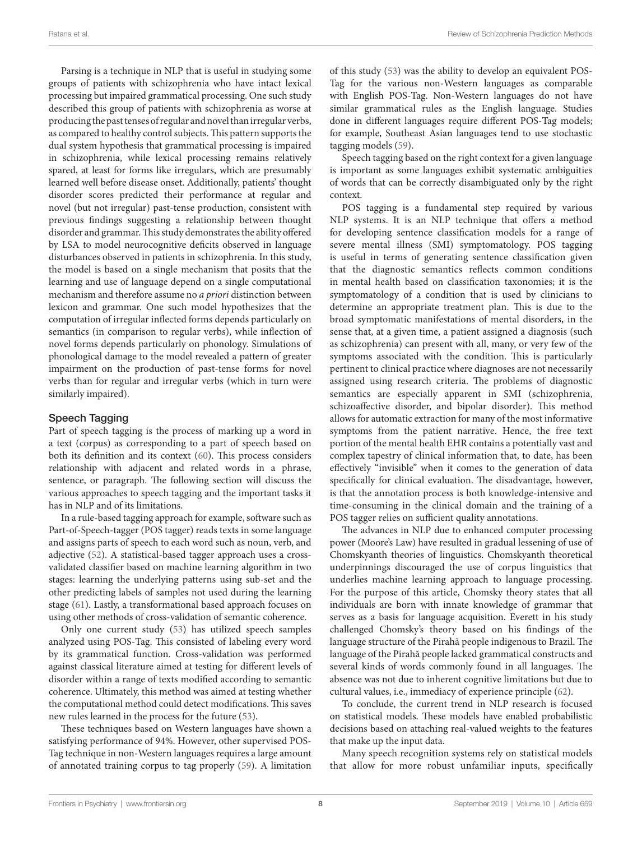Parsing is a technique in NLP that is useful in studying some groups of patients with schizophrenia who have intact lexical processing but impaired grammatical processing. One such study described this group of patients with schizophrenia as worse at producing the past tenses of regular and novel than irregular verbs, as compared to healthy control subjects. This pattern supports the dual system hypothesis that grammatical processing is impaired in schizophrenia, while lexical processing remains relatively spared, at least for forms like irregulars, which are presumably learned well before disease onset. Additionally, patients' thought disorder scores predicted their performance at regular and novel (but not irregular) past-tense production, consistent with previous findings suggesting a relationship between thought disorder and grammar. This study demonstrates the ability offered by LSA to model neurocognitive deficits observed in language disturbances observed in patients in schizophrenia. In this study, the model is based on a single mechanism that posits that the learning and use of language depend on a single computational mechanism and therefore assume no *a priori* distinction between lexicon and grammar. One such model hypothesizes that the computation of irregular inflected forms depends particularly on semantics (in comparison to regular verbs), while inflection of novel forms depends particularly on phonology. Simulations of phonological damage to the model revealed a pattern of greater impairment on the production of past-tense forms for novel verbs than for regular and irregular verbs (which in turn were similarly impaired).

### Speech Tagging

Part of speech tagging is the process of marking up a word in a text (corpus) as corresponding to a part of speech based on both its definition and its context ([60\)](#page-13-19). This process considers relationship with adjacent and related words in a phrase, sentence, or paragraph. The following section will discuss the various approaches to speech tagging and the important tasks it has in NLP and of its limitations.

In a rule-based tagging approach for example, software such as Part-of-Speech-tagger (POS tagger) reads texts in some language and assigns parts of speech to each word such as noun, verb, and adjective ([52\)](#page-13-11). A statistical-based tagger approach uses a crossvalidated classifier based on machine learning algorithm in two stages: learning the underlying patterns using sub-set and the other predicting labels of samples not used during the learning stage ([61\)](#page-13-20). Lastly, a transformational based approach focuses on using other methods of cross-validation of semantic coherence.

Only one current study [\(53\)](#page-13-12) has utilized speech samples analyzed using POS-Tag. This consisted of labeling every word by its grammatical function. Cross-validation was performed against classical literature aimed at testing for different levels of disorder within a range of texts modified according to semantic coherence. Ultimately, this method was aimed at testing whether the computational method could detect modifications. This saves new rules learned in the process for the future ([53\)](#page-13-12).

These techniques based on Western languages have shown a satisfying performance of 94%. However, other supervised POS-Tag technique in non-Western languages requires a large amount of annotated training corpus to tag properly ([59\)](#page-13-18). A limitation of this study ([53\)](#page-13-12) was the ability to develop an equivalent POS-Tag for the various non-Western languages as comparable with English POS-Tag. Non-Western languages do not have similar grammatical rules as the English language. Studies done in different languages require different POS-Tag models; for example, Southeast Asian languages tend to use stochastic tagging models [\(59](#page-13-18)).

Speech tagging based on the right context for a given language is important as some languages exhibit systematic ambiguities of words that can be correctly disambiguated only by the right context.

POS tagging is a fundamental step required by various NLP systems. It is an NLP technique that offers a method for developing sentence classification models for a range of severe mental illness (SMI) symptomatology. POS tagging is useful in terms of generating sentence classification given that the diagnostic semantics reflects common conditions in mental health based on classification taxonomies; it is the symptomatology of a condition that is used by clinicians to determine an appropriate treatment plan. This is due to the broad symptomatic manifestations of mental disorders, in the sense that, at a given time, a patient assigned a diagnosis (such as schizophrenia) can present with all, many, or very few of the symptoms associated with the condition. This is particularly pertinent to clinical practice where diagnoses are not necessarily assigned using research criteria. The problems of diagnostic semantics are especially apparent in SMI (schizophrenia, schizoaffective disorder, and bipolar disorder). This method allows for automatic extraction for many of the most informative symptoms from the patient narrative. Hence, the free text portion of the mental health EHR contains a potentially vast and complex tapestry of clinical information that, to date, has been effectively "invisible" when it comes to the generation of data specifically for clinical evaluation. The disadvantage, however, is that the annotation process is both knowledge-intensive and time-consuming in the clinical domain and the training of a POS tagger relies on sufficient quality annotations.

The advances in NLP due to enhanced computer processing power (Moore's Law) have resulted in gradual lessening of use of Chomskyanth theories of linguistics. Chomskyanth theoretical underpinnings discouraged the use of corpus linguistics that underlies machine learning approach to language processing. For the purpose of this article, Chomsky theory states that all individuals are born with innate knowledge of grammar that serves as a basis for language acquisition. Everett in his study challenged Chomsky's theory based on his findings of the language structure of the Pirahã people indigenous to Brazil. The language of the Pirahã people lacked grammatical constructs and several kinds of words commonly found in all languages. The absence was not due to inherent cognitive limitations but due to cultural values, i.e., immediacy of experience principle [\(62](#page-13-21)).

To conclude, the current trend in NLP research is focused on statistical models. These models have enabled probabilistic decisions based on attaching real-valued weights to the features that make up the input data.

Many speech recognition systems rely on statistical models that allow for more robust unfamiliar inputs, specifically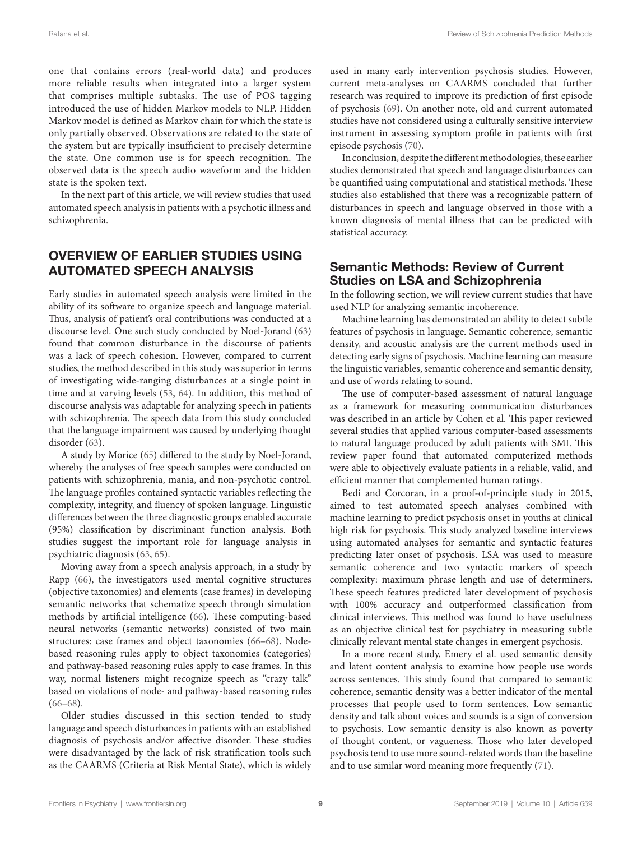one that contains errors (real-world data) and produces more reliable results when integrated into a larger system that comprises multiple subtasks. The use of POS tagging introduced the use of hidden Markov models to NLP. Hidden Markov model is defined as Markov chain for which the state is only partially observed. Observations are related to the state of the system but are typically insufficient to precisely determine the state. One common use is for speech recognition. The observed data is the speech audio waveform and the hidden state is the spoken text.

In the next part of this article, we will review studies that used automated speech analysis in patients with a psychotic illness and schizophrenia.

# OVERVIEW OF EARLIER STUDIES USING AUTOMATED SPEECH ANALYSIS

Early studies in automated speech analysis were limited in the ability of its software to organize speech and language material. Thus, analysis of patient's oral contributions was conducted at a discourse level. One such study conducted by Noel-Jorand [\(63\)](#page-13-22) found that common disturbance in the discourse of patients was a lack of speech cohesion. However, compared to current studies, the method described in this study was superior in terms of investigating wide-ranging disturbances at a single point in time and at varying levels [\(53](#page-13-12), [64\)](#page-13-23). In addition, this method of discourse analysis was adaptable for analyzing speech in patients with schizophrenia. The speech data from this study concluded that the language impairment was caused by underlying thought disorder [\(63](#page-13-22)).

A study by Morice [\(65\)](#page-13-24) differed to the study by Noel-Jorand, whereby the analyses of free speech samples were conducted on patients with schizophrenia, mania, and non-psychotic control. The language profiles contained syntactic variables reflecting the complexity, integrity, and fluency of spoken language. Linguistic differences between the three diagnostic groups enabled accurate (95%) classification by discriminant function analysis. Both studies suggest the important role for language analysis in psychiatric diagnosis ([63,](#page-13-22) [65](#page-13-24)).

Moving away from a speech analysis approach, in a study by Rapp [\(66\)](#page-13-25), the investigators used mental cognitive structures (objective taxonomies) and elements (case frames) in developing semantic networks that schematize speech through simulation methods by artificial intelligence [\(66](#page-13-25)). These computing-based neural networks (semantic networks) consisted of two main structures: case frames and object taxonomies ([66–](#page-13-25)[68\)](#page-13-26). Nodebased reasoning rules apply to object taxonomies (categories) and pathway-based reasoning rules apply to case frames. In this way, normal listeners might recognize speech as "crazy talk" based on violations of node- and pathway-based reasoning rules [\(66](#page-13-25)[–68\)](#page-13-26).

Older studies discussed in this section tended to study language and speech disturbances in patients with an established diagnosis of psychosis and/or affective disorder. These studies were disadvantaged by the lack of risk stratification tools such as the CAARMS (Criteria at Risk Mental State), which is widely used in many early intervention psychosis studies. However, current meta-analyses on CAARMS concluded that further research was required to improve its prediction of first episode of psychosis ([69\)](#page-13-27). On another note, old and current automated studies have not considered using a culturally sensitive interview instrument in assessing symptom profile in patients with first episode psychosis ([70\)](#page-13-28).

In conclusion, despite the different methodologies, these earlier studies demonstrated that speech and language disturbances can be quantified using computational and statistical methods. These studies also established that there was a recognizable pattern of disturbances in speech and language observed in those with a known diagnosis of mental illness that can be predicted with statistical accuracy.

## Semantic Methods: Review of Current Studies on LSA and Schizophrenia

In the following section, we will review current studies that have used NLP for analyzing semantic incoherence.

Machine learning has demonstrated an ability to detect subtle features of psychosis in language. Semantic coherence, semantic density, and acoustic analysis are the current methods used in detecting early signs of psychosis. Machine learning can measure the linguistic variables, semantic coherence and semantic density, and use of words relating to sound.

The use of computer-based assessment of natural language as a framework for measuring communication disturbances was described in an article by Cohen et al. This paper reviewed several studies that applied various computer-based assessments to natural language produced by adult patients with SMI. This review paper found that automated computerized methods were able to objectively evaluate patients in a reliable, valid, and efficient manner that complemented human ratings.

Bedi and Corcoran, in a proof-of-principle study in 2015, aimed to test automated speech analyses combined with machine learning to predict psychosis onset in youths at clinical high risk for psychosis. This study analyzed baseline interviews using automated analyses for semantic and syntactic features predicting later onset of psychosis. LSA was used to measure semantic coherence and two syntactic markers of speech complexity: maximum phrase length and use of determiners. These speech features predicted later development of psychosis with 100% accuracy and outperformed classification from clinical interviews. This method was found to have usefulness as an objective clinical test for psychiatry in measuring subtle clinically relevant mental state changes in emergent psychosis.

In a more recent study, Emery et al. used semantic density and latent content analysis to examine how people use words across sentences. This study found that compared to semantic coherence, semantic density was a better indicator of the mental processes that people used to form sentences. Low semantic density and talk about voices and sounds is a sign of conversion to psychosis. Low semantic density is also known as poverty of thought content, or vagueness. Those who later developed psychosis tend to use more sound-related words than the baseline and to use similar word meaning more frequently [\(71](#page-13-29)).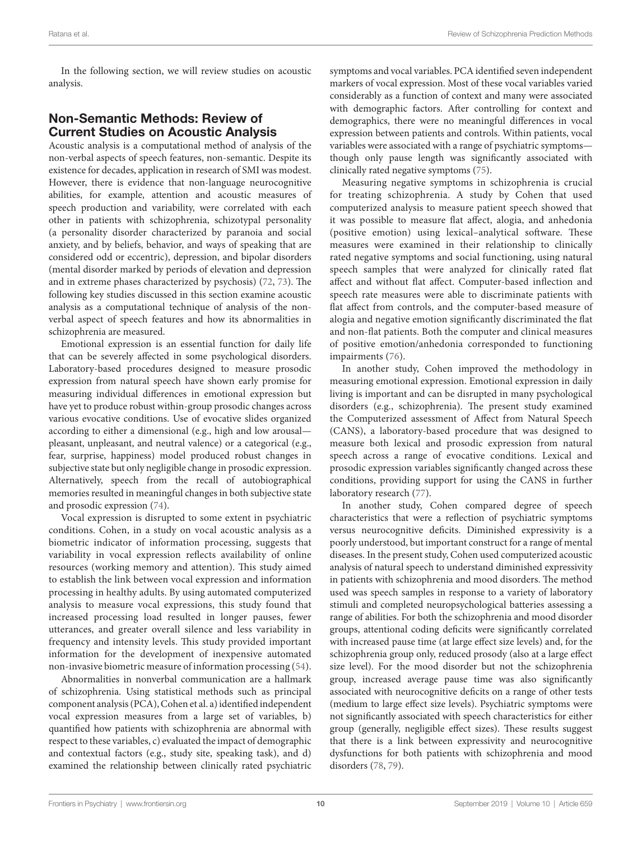In the following section, we will review studies on acoustic analysis.

# Non-Semantic Methods: Review of Current Studies on Acoustic Analysis

Acoustic analysis is a computational method of analysis of the non-verbal aspects of speech features, non-semantic. Despite its existence for decades, application in research of SMI was modest. However, there is evidence that non-language neurocognitive abilities, for example, attention and acoustic measures of speech production and variability, were correlated with each other in patients with schizophrenia, schizotypal personality (a personality disorder characterized by paranoia and social anxiety, and by beliefs, behavior, and ways of speaking that are considered odd or eccentric), depression, and bipolar disorders (mental disorder marked by periods of elevation and depression and in extreme phases characterized by psychosis) ([72,](#page-13-30) [73\)](#page-13-31). The following key studies discussed in this section examine acoustic analysis as a computational technique of analysis of the nonverbal aspect of speech features and how its abnormalities in schizophrenia are measured.

Emotional expression is an essential function for daily life that can be severely affected in some psychological disorders. Laboratory-based procedures designed to measure prosodic expression from natural speech have shown early promise for measuring individual differences in emotional expression but have yet to produce robust within-group prosodic changes across various evocative conditions. Use of evocative slides organized according to either a dimensional (e.g., high and low arousal pleasant, unpleasant, and neutral valence) or a categorical (e.g., fear, surprise, happiness) model produced robust changes in subjective state but only negligible change in prosodic expression. Alternatively, speech from the recall of autobiographical memories resulted in meaningful changes in both subjective state and prosodic expression ([74\)](#page-13-32).

Vocal expression is disrupted to some extent in psychiatric conditions. Cohen, in a study on vocal acoustic analysis as a biometric indicator of information processing, suggests that variability in vocal expression reflects availability of online resources (working memory and attention). This study aimed to establish the link between vocal expression and information processing in healthy adults. By using automated computerized analysis to measure vocal expressions, this study found that increased processing load resulted in longer pauses, fewer utterances, and greater overall silence and less variability in frequency and intensity levels. This study provided important information for the development of inexpensive automated non-invasive biometric measure of information processing ([54](#page-13-13)).

Abnormalities in nonverbal communication are a hallmark of schizophrenia. Using statistical methods such as principal component analysis (PCA), Cohen et al. a) identified independent vocal expression measures from a large set of variables, b) quantified how patients with schizophrenia are abnormal with respect to these variables, c) evaluated the impact of demographic and contextual factors (e.g., study site, speaking task), and d) examined the relationship between clinically rated psychiatric symptoms and vocal variables. PCA identified seven independent markers of vocal expression. Most of these vocal variables varied considerably as a function of context and many were associated with demographic factors. After controlling for context and demographics, there were no meaningful differences in vocal expression between patients and controls. Within patients, vocal variables were associated with a range of psychiatric symptoms though only pause length was significantly associated with clinically rated negative symptoms ([75\)](#page-13-33).

Measuring negative symptoms in schizophrenia is crucial for treating schizophrenia. A study by Cohen that used computerized analysis to measure patient speech showed that it was possible to measure flat affect, alogia, and anhedonia (positive emotion) using lexical–analytical software. These measures were examined in their relationship to clinically rated negative symptoms and social functioning, using natural speech samples that were analyzed for clinically rated flat affect and without flat affect. Computer-based inflection and speech rate measures were able to discriminate patients with flat affect from controls, and the computer-based measure of alogia and negative emotion significantly discriminated the flat and non-flat patients. Both the computer and clinical measures of positive emotion/anhedonia corresponded to functioning impairments [\(76](#page-13-34)).

In another study, Cohen improved the methodology in measuring emotional expression. Emotional expression in daily living is important and can be disrupted in many psychological disorders (e.g., schizophrenia). The present study examined the Computerized assessment of Affect from Natural Speech (CANS), a laboratory-based procedure that was designed to measure both lexical and prosodic expression from natural speech across a range of evocative conditions. Lexical and prosodic expression variables significantly changed across these conditions, providing support for using the CANS in further laboratory research [\(77\)](#page-13-35).

In another study, Cohen compared degree of speech characteristics that were a reflection of psychiatric symptoms versus neurocognitive deficits. Diminished expressivity is a poorly understood, but important construct for a range of mental diseases. In the present study, Cohen used computerized acoustic analysis of natural speech to understand diminished expressivity in patients with schizophrenia and mood disorders. The method used was speech samples in response to a variety of laboratory stimuli and completed neuropsychological batteries assessing a range of abilities. For both the schizophrenia and mood disorder groups, attentional coding deficits were significantly correlated with increased pause time (at large effect size levels) and, for the schizophrenia group only, reduced prosody (also at a large effect size level). For the mood disorder but not the schizophrenia group, increased average pause time was also significantly associated with neurocognitive deficits on a range of other tests (medium to large effect size levels). Psychiatric symptoms were not significantly associated with speech characteristics for either group (generally, negligible effect sizes). These results suggest that there is a link between expressivity and neurocognitive dysfunctions for both patients with schizophrenia and mood disorders ([78,](#page-13-36) [79](#page-13-37)).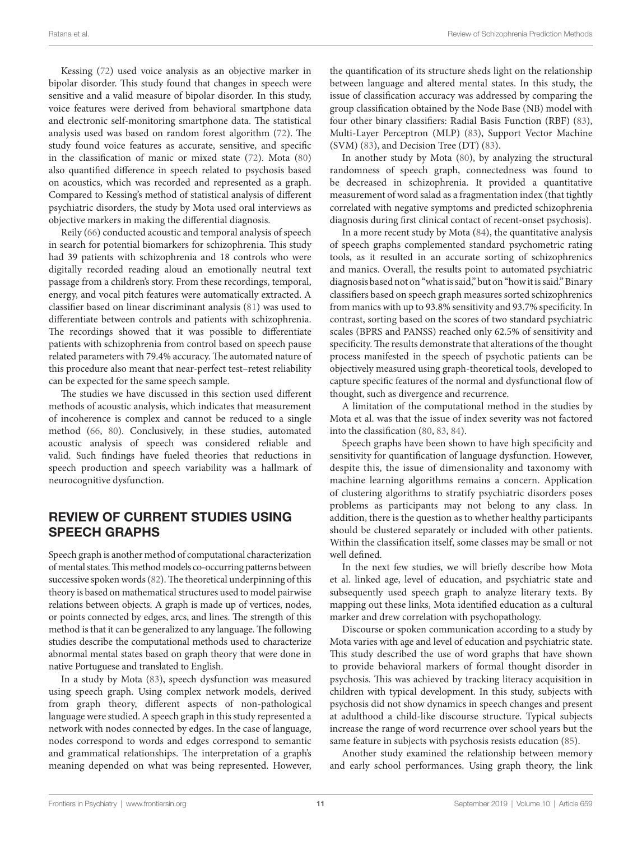Kessing ([72](#page-13-30)) used voice analysis as an objective marker in bipolar disorder. This study found that changes in speech were sensitive and a valid measure of bipolar disorder. In this study, voice features were derived from behavioral smartphone data and electronic self-monitoring smartphone data. The statistical analysis used was based on random forest algorithm ([72\)](#page-13-30). The study found voice features as accurate, sensitive, and specific in the classification of manic or mixed state [\(72](#page-13-30)). Mota [\(80\)](#page-13-38) also quantified difference in speech related to psychosis based on acoustics, which was recorded and represented as a graph. Compared to Kessing's method of statistical analysis of different psychiatric disorders, the study by Mota used oral interviews as objective markers in making the differential diagnosis.

Reily ([66](#page-13-25)) conducted acoustic and temporal analysis of speech in search for potential biomarkers for schizophrenia. This study had 39 patients with schizophrenia and 18 controls who were digitally recorded reading aloud an emotionally neutral text passage from a children's story. From these recordings, temporal, energy, and vocal pitch features were automatically extracted. A classifier based on linear discriminant analysis ([81](#page-13-39)) was used to differentiate between controls and patients with schizophrenia. The recordings showed that it was possible to differentiate patients with schizophrenia from control based on speech pause related parameters with 79.4% accuracy. The automated nature of this procedure also meant that near-perfect test–retest reliability can be expected for the same speech sample.

The studies we have discussed in this section used different methods of acoustic analysis, which indicates that measurement of incoherence is complex and cannot be reduced to a single method ([66,](#page-13-25) [80\)](#page-13-38). Conclusively, in these studies, automated acoustic analysis of speech was considered reliable and valid. Such findings have fueled theories that reductions in speech production and speech variability was a hallmark of neurocognitive dysfunction.

# REVIEW OF CURRENT STUDIES USING SPEECH GRAPHS

Speech graph is another method of computational characterization of mental states. This method models co-occurring patterns between successive spoken words [\(82\)](#page-13-40). The theoretical underpinning of this theory is based on mathematical structures used to model pairwise relations between objects. A graph is made up of vertices, nodes, or points connected by edges, arcs, and lines. The strength of this method is that it can be generalized to any language. The following studies describe the computational methods used to characterize abnormal mental states based on graph theory that were done in native Portuguese and translated to English.

In a study by Mota ([83\)](#page-13-41), speech dysfunction was measured using speech graph. Using complex network models, derived from graph theory, different aspects of non-pathological language were studied. A speech graph in this study represented a network with nodes connected by edges. In the case of language, nodes correspond to words and edges correspond to semantic and grammatical relationships. The interpretation of a graph's meaning depended on what was being represented. However, the quantification of its structure sheds light on the relationship between language and altered mental states. In this study, the issue of classification accuracy was addressed by comparing the group classification obtained by the Node Base (NB) model with four other binary classifiers: Radial Basis Function (RBF) [\(83](#page-13-41)), Multi-Layer Perceptron (MLP) [\(83](#page-13-41)), Support Vector Machine (SVM) ([83\)](#page-13-41), and Decision Tree (DT) [\(83](#page-13-41)).

In another study by Mota [\(80](#page-13-38)), by analyzing the structural randomness of speech graph, connectedness was found to be decreased in schizophrenia. It provided a quantitative measurement of word salad as a fragmentation index (that tightly correlated with negative symptoms and predicted schizophrenia diagnosis during first clinical contact of recent-onset psychosis).

In a more recent study by Mota ([84\)](#page-13-42), the quantitative analysis of speech graphs complemented standard psychometric rating tools, as it resulted in an accurate sorting of schizophrenics and manics. Overall, the results point to automated psychiatric diagnosis based not on "what is said," but on "how it is said." Binary classifiers based on speech graph measures sorted schizophrenics from manics with up to 93.8% sensitivity and 93.7% specificity. In contrast, sorting based on the scores of two standard psychiatric scales (BPRS and PANSS) reached only 62.5% of sensitivity and specificity. The results demonstrate that alterations of the thought process manifested in the speech of psychotic patients can be objectively measured using graph-theoretical tools, developed to capture specific features of the normal and dysfunctional flow of thought, such as divergence and recurrence.

A limitation of the computational method in the studies by Mota et al. was that the issue of index severity was not factored into the classification [\(80,](#page-13-38) [83](#page-13-41), [84](#page-13-42)).

Speech graphs have been shown to have high specificity and sensitivity for quantification of language dysfunction. However, despite this, the issue of dimensionality and taxonomy with machine learning algorithms remains a concern. Application of clustering algorithms to stratify psychiatric disorders poses problems as participants may not belong to any class. In addition, there is the question as to whether healthy participants should be clustered separately or included with other patients. Within the classification itself, some classes may be small or not well defined.

In the next few studies, we will briefly describe how Mota et al. linked age, level of education, and psychiatric state and subsequently used speech graph to analyze literary texts. By mapping out these links, Mota identified education as a cultural marker and drew correlation with psychopathology.

Discourse or spoken communication according to a study by Mota varies with age and level of education and psychiatric state. This study described the use of word graphs that have shown to provide behavioral markers of formal thought disorder in psychosis. This was achieved by tracking literacy acquisition in children with typical development. In this study, subjects with psychosis did not show dynamics in speech changes and present at adulthood a child-like discourse structure. Typical subjects increase the range of word recurrence over school years but the same feature in subjects with psychosis resists education ([85\)](#page-14-1).

Another study examined the relationship between memory and early school performances. Using graph theory, the link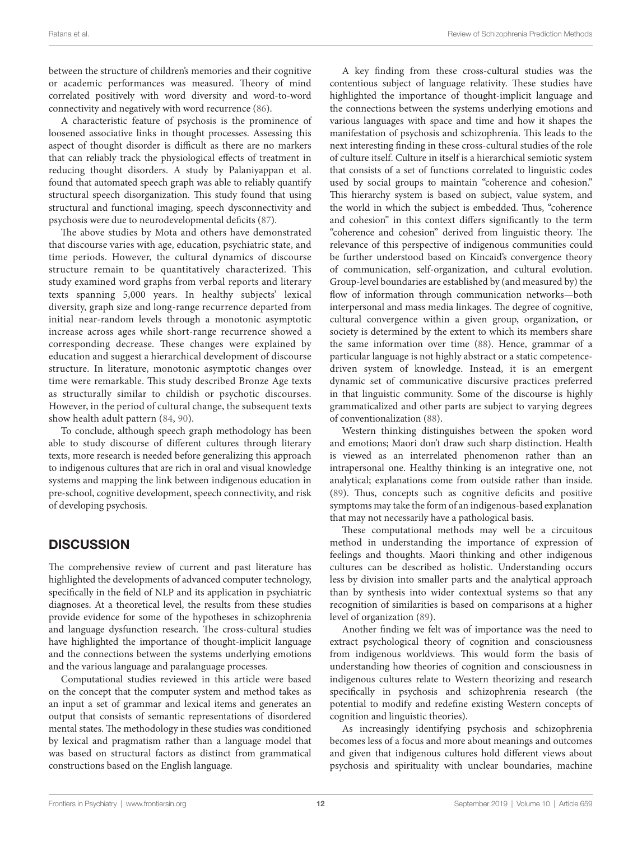between the structure of children's memories and their cognitive or academic performances was measured. Theory of mind correlated positively with word diversity and word-to-word connectivity and negatively with word recurrence ([86](#page-14-2)).

A characteristic feature of psychosis is the prominence of loosened associative links in thought processes. Assessing this aspect of thought disorder is difficult as there are no markers that can reliably track the physiological effects of treatment in reducing thought disorders. A study by Palaniyappan et al. found that automated speech graph was able to reliably quantify structural speech disorganization. This study found that using structural and functional imaging, speech dysconnectivity and psychosis were due to neurodevelopmental deficits [\(87](#page-14-3)).

The above studies by Mota and others have demonstrated that discourse varies with age, education, psychiatric state, and time periods. However, the cultural dynamics of discourse structure remain to be quantitatively characterized. This study examined word graphs from verbal reports and literary texts spanning 5,000 years. In healthy subjects' lexical diversity, graph size and long-range recurrence departed from initial near-random levels through a monotonic asymptotic increase across ages while short-range recurrence showed a corresponding decrease. These changes were explained by education and suggest a hierarchical development of discourse structure. In literature, monotonic asymptotic changes over time were remarkable. This study described Bronze Age texts as structurally similar to childish or psychotic discourses. However, in the period of cultural change, the subsequent texts show health adult pattern ([84](#page-13-42), [90](#page-14-0)).

To conclude, although speech graph methodology has been able to study discourse of different cultures through literary texts, more research is needed before generalizing this approach to indigenous cultures that are rich in oral and visual knowledge systems and mapping the link between indigenous education in pre-school, cognitive development, speech connectivity, and risk of developing psychosis.

# **DISCUSSION**

The comprehensive review of current and past literature has highlighted the developments of advanced computer technology, specifically in the field of NLP and its application in psychiatric diagnoses. At a theoretical level, the results from these studies provide evidence for some of the hypotheses in schizophrenia and language dysfunction research. The cross-cultural studies have highlighted the importance of thought-implicit language and the connections between the systems underlying emotions and the various language and paralanguage processes.

Computational studies reviewed in this article were based on the concept that the computer system and method takes as an input a set of grammar and lexical items and generates an output that consists of semantic representations of disordered mental states. The methodology in these studies was conditioned by lexical and pragmatism rather than a language model that was based on structural factors as distinct from grammatical constructions based on the English language.

A key finding from these cross-cultural studies was the contentious subject of language relativity. These studies have highlighted the importance of thought-implicit language and the connections between the systems underlying emotions and various languages with space and time and how it shapes the manifestation of psychosis and schizophrenia. This leads to the next interesting finding in these cross-cultural studies of the role of culture itself. Culture in itself is a hierarchical semiotic system that consists of a set of functions correlated to linguistic codes used by social groups to maintain "coherence and cohesion." This hierarchy system is based on subject, value system, and the world in which the subject is embedded. Thus, "coherence and cohesion" in this context differs significantly to the term "coherence and cohesion" derived from linguistic theory. The relevance of this perspective of indigenous communities could be further understood based on Kincaid's convergence theory of communication, self-organization, and cultural evolution. Group-level boundaries are established by (and measured by) the flow of information through communication networks—both interpersonal and mass media linkages. The degree of cognitive, cultural convergence within a given group, organization, or society is determined by the extent to which its members share the same information over time [\(88](#page-14-4)). Hence, grammar of a particular language is not highly abstract or a static competencedriven system of knowledge. Instead, it is an emergent dynamic set of communicative discursive practices preferred in that linguistic community. Some of the discourse is highly grammaticalized and other parts are subject to varying degrees of conventionalization [\(88](#page-14-4)).

Western thinking distinguishes between the spoken word and emotions; Maori don't draw such sharp distinction. Health is viewed as an interrelated phenomenon rather than an intrapersonal one. Healthy thinking is an integrative one, not analytical; explanations come from outside rather than inside. [\(89](#page-14-5)). Thus, concepts such as cognitive deficits and positive symptoms may take the form of an indigenous-based explanation that may not necessarily have a pathological basis.

These computational methods may well be a circuitous method in understanding the importance of expression of feelings and thoughts. Maori thinking and other indigenous cultures can be described as holistic. Understanding occurs less by division into smaller parts and the analytical approach than by synthesis into wider contextual systems so that any recognition of similarities is based on comparisons at a higher level of organization [\(89\)](#page-14-5).

Another finding we felt was of importance was the need to extract psychological theory of cognition and consciousness from indigenous worldviews. This would form the basis of understanding how theories of cognition and consciousness in indigenous cultures relate to Western theorizing and research specifically in psychosis and schizophrenia research (the potential to modify and redefine existing Western concepts of cognition and linguistic theories).

As increasingly identifying psychosis and schizophrenia becomes less of a focus and more about meanings and outcomes and given that indigenous cultures hold different views about psychosis and spirituality with unclear boundaries, machine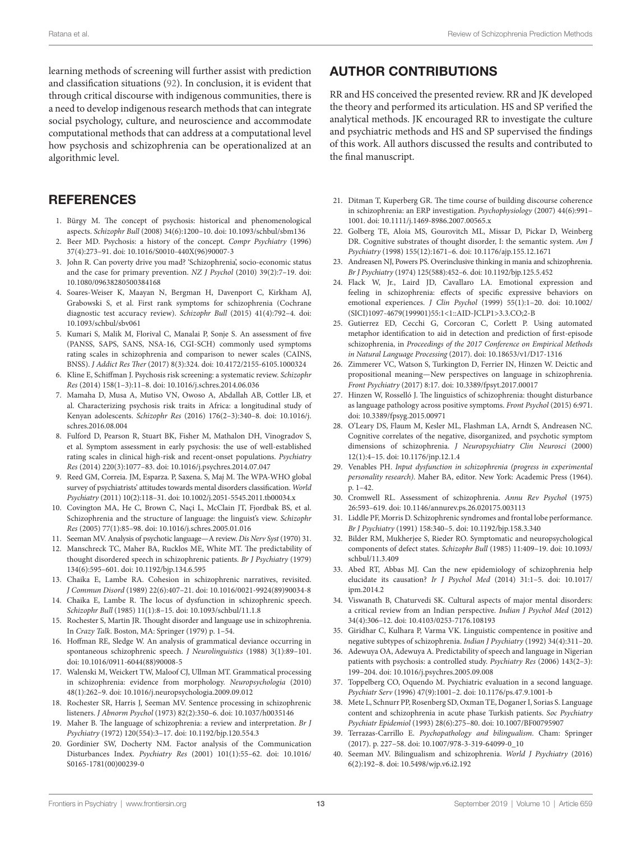learning methods of screening will further assist with prediction and classification situations ([92\)](#page-14-6). In conclusion, it is evident that through critical discourse with indigenous communities, there is a need to develop indigenous research methods that can integrate social psychology, culture, and neuroscience and accommodate computational methods that can address at a computational level how psychosis and schizophrenia can be operationalized at an algorithmic level.

## **REFERENCES**

- <span id="page-12-0"></span>1. Bürgy M. The concept of psychosis: historical and phenomenological aspects. *Schizophr Bull* (2008) 34(6):1200–10. doi: [10.1093/schbul/sbm136](https://doi.org/10.1093/schbul/sbm136)
- <span id="page-12-1"></span>2. Beer MD. Psychosis: a history of the concept. *Compr Psychiatry* (1996) 37(4):273–91. doi: [10.1016/S0010-440X\(96\)90007-3](https://doi.org/10.1016/S0010-440X(96)90007-3)
- <span id="page-12-2"></span>3. John R. Can poverty drive you mad? 'Schizophrenia', socio-economic status and the case for primary prevention. *NZ J Psychol* (2010) 39(2):7–19. doi: [10.1080/09638280500384168](http://doi.org/10.1080/09638280500384168)
- <span id="page-12-3"></span>4. Soares-Weiser K, Maayan N, Bergman H, Davenport C, Kirkham AJ, Grabowski S, et al. First rank symptoms for schizophrenia (Cochrane diagnostic test accuracy review). *Schizophr Bull* (2015) 41(4):792–4. doi: [10.1093/schbul/sbv061](https://doi.org/10.1093/schbul/sbv061)
- <span id="page-12-4"></span>5. Kumari S, Malik M, Florival C, Manalai P, Sonje S. An assessment of five (PANSS, SAPS, SANS, NSA-16, CGI-SCH) commonly used symptoms rating scales in schizophrenia and comparison to newer scales (CAINS, BNSS). *J Addict Res Ther* (2017) 8(3):324. doi: [10.4172/2155-6105.1000324](https://doi.org/10.4172/2155-6105.1000324)
- <span id="page-12-5"></span>6. Kline E, Schiffman J. Psychosis risk screening: a systematic review. *Schizophr Res* (2014) 158(1–3):11–8. doi: [10.1016/j.schres.2014.06.036](https://doi.org/10.1016/j.schres.2014.06.036)
- <span id="page-12-6"></span>7. Mamaha D, Musa A, Mutiso VN, Owoso A, Abdallah AB, Cottler LB, et al. Characterizing psychosis risk traits in Africa: a longitudinal study of Kenyan adolescents. *Schizophr Res* (2016) 176(2–3):340–8. doi: [10.1016/j.](https://doi.org/10.1016/j.schres.2016.08.004) [schres.2016.08.004](https://doi.org/10.1016/j.schres.2016.08.004)
- <span id="page-12-7"></span>8. Fulford D, Pearson R, Stuart BK, Fisher M, Mathalon DH, Vinogradov S, et al. Symptom assessment in early psychosis: the use of well-established rating scales in clinical high-risk and recent-onset populations. *Psychiatry Res* (2014) 220(3):1077–83. doi: [10.1016/j.psychres.2014.07.047](https://doi.org/10.1016/j.psychres.2014.07.047)
- <span id="page-12-8"></span>9. Reed GM, Correia. JM, Esparza. P, Saxena. S, Maj M. The WPA-WHO global survey of psychiatrists' attitudes towards mental disorders classification. *World Psychiatry* (2011) 10(2):118–31. doi: [10.1002/j.2051-5545.2011.tb00034.x](https://doi.org/10.1002/j.2051-5545.2011.tb00034.x)
- <span id="page-12-9"></span>10. Covington MA, He C, Brown C, Naçi L, McClain JT, Fjordbak BS, et al. Schizophrenia and the structure of language: the linguist's view. *Schizophr Res* (2005) 77(1):85–98. doi: [10.1016/j.schres.2005.01.016](https://doi.org/10.1016/j.schres.2005.01.016)
- <span id="page-12-10"></span>11. Seeman MV. Analysis of psychotic language—A review. *Dis Nerv Syst* (1970) 31.
- <span id="page-12-11"></span>12. Manschreck TC, Maher BA, Rucklos ME, White MT. The predictability of thought disordered speech in schizophrenic patients. *Br J Psychiatry* (1979) 134(6):595–601. doi: [10.1192/bjp.134.6.595](https://doi.org/10.1192/bjp.134.6.595)
- <span id="page-12-12"></span>13. Chaika E, Lambe RA. Cohesion in schizophrenic narratives, revisited. *J Commun Disord* (1989) 22(6):407–21. doi: [10.1016/0021-9924\(89\)90034-8](https://doi.org/10.1016/0021-9924(89)90034-8)
- <span id="page-12-13"></span>14. Chaika E, Lambe R. The locus of dysfunction in schizophrenic speech. *Schizophr Bull* (1985) 11(1):8–15. doi: [10.1093/schbul/11.1.8](https://doi.org/10.1093/schbul/11.1.8)
- <span id="page-12-14"></span>15. Rochester S, Martin JR. Thought disorder and language use in schizophrenia. In *Crazy Talk*. Boston, MA: Springer (1979) p. 1–54.
- <span id="page-12-15"></span>16. Hoffman RE, Sledge W. An analysis of grammatical deviance occurring in spontaneous schizophrenic speech. *J Neurolinguistics* (1988) 3(1):89–101. doi: [10.1016/0911-6044\(88\)90008-5](https://doi.org/10.1016/0911-6044(88)90008-5)
- <span id="page-12-16"></span>17. Walenski M, Weickert TW, Maloof CJ, Ullman MT. Grammatical processing in schizophrenia: evidence from morphology. *Neuropsychologia* (2010) 48(1):262–9. doi: [10.1016/j.neuropsychologia.2009.09.012](https://doi.org/10.1016/j.neuropsychologia.2009.09.012)
- 18. Rochester SR, Harris J, Seeman MV. Sentence processing in schizophrenic listeners. *J Abnorm Psychol* (1973) 82(2):350–6. doi: [10.1037/h0035146](https://doi.org/10.1037/h0035146)
- <span id="page-12-17"></span>19. Maher B. The language of schizophrenia: a review and interpretation. *Br J Psychiatry* (1972) 120(554):3–17. doi: [10.1192/bjp.120.554.3](https://doi.org/10.1192/bjp.120.554.3)
- <span id="page-12-18"></span>20. Gordinier SW, Docherty NM. Factor analysis of the Communication Disturbances Index. *Psychiatry Res* (2001) 101(1):55–62. doi: [10.1016/](https://doi.org/10.1016/S0165-1781(00)00239-0) [S0165-1781\(00\)00239-0](https://doi.org/10.1016/S0165-1781(00)00239-0)

# AUTHOR CONTRIBUTIONS

RR and HS conceived the presented review. RR and JK developed the theory and performed its articulation. HS and SP verified the analytical methods. JK encouraged RR to investigate the culture and psychiatric methods and HS and SP supervised the findings of this work. All authors discussed the results and contributed to the final manuscript.

- <span id="page-12-19"></span>21. Ditman T, Kuperberg GR. The time course of building discourse coherence in schizophrenia: an ERP investigation. *Psychophysiology* (2007) 44(6):991– 1001. doi: [10.1111/j.1469-8986.2007.00565.x](https://doi.org/10.1111/j.1469-8986.2007.00565.x)
- <span id="page-12-27"></span>22. Golberg TE, Aloia MS, Gourovitch ML, Missar D, Pickar D, Weinberg DR. Cognitive substrates of thought disorder, I: the semantic system. *Am J Psychiatry* (1998) 155(12):1671–6. doi: [10.1176/ajp.155.12.1671](https://doi.org/10.1176/ajp.155.12.1671)
- <span id="page-12-28"></span>23. Andreasen NJ, Powers PS. Overinclusive thinking in mania and schizophrenia. *Br J Psychiatry* (1974) 125(588):452–6. doi: [10.1192/bjp.125.5.452](https://doi.org/10.1192/bjp.125.5.452)
- <span id="page-12-20"></span>24. Flack W, Jr., Laird JD, Cavallaro LA. Emotional expression and feeling in schizophrenia: effects of specific expressive behaviors on emotional experiences. *J Clin Psychol* (1999) 55(1):1–20. doi: [10.1002/](https://doi.org/10.1002/(SICI)1097-4679(199901)55:1<1::AID-JCLP1>3.3.CO;2-B) [\(SICI\)1097-4679\(199901\)55:1<1::AID-JCLP1>3.3.CO;2-B](https://doi.org/10.1002/(SICI)1097-4679(199901)55:1<1::AID-JCLP1>3.3.CO;2-B)
- <span id="page-12-21"></span>25. Gutierrez ED, Cecchi G, Corcoran C, Corlett P. Using automated metaphor identification to aid in detection and prediction of first-episode schizophrenia, in *Proceedings of the 2017 Conference on Empirical Methods in Natural Language Processing* (2017). doi: [10.18653/v1/D17-1316](https://doi.org/10.18653/v1/D17-1316)
- <span id="page-12-22"></span>26. Zimmerer VC, Watson S, Turkington D, Ferrier IN, Hinzen W. Deictic and propositional meaning—New perspectives on language in schizophrenia. *Front Psychiatry* (2017) 8:17. doi: [10.3389/fpsyt.2017.00017](https://doi.org/10.3389/fpsyt.2017.00017)
- <span id="page-12-23"></span>27. Hinzen W, Rosselló J. The linguistics of schizophrenia: thought disturbance as language pathology across positive symptoms. *Front Psychol* (2015) 6:971. doi: [10.3389/fpsyg.2015.00971](https://doi.org/10.3389/fpsyg.2015.00971)
- <span id="page-12-24"></span>28. O'Leary DS, Flaum M, Kesler ML, Flashman LA, Arndt S, Andreasen NC. Cognitive correlates of the negative, disorganized, and psychotic symptom dimensions of schizophrenia. *J Neuropsychiatry Clin Neurosci* (2000) 12(1):4–15. doi: [10.1176/jnp.12.1.4](https://doi.org/10.1176/jnp.12.1.4)
- <span id="page-12-25"></span>29. Venables PH. *Input dysfunction in schizophrenia (progress in experimental personality research)*. Maher BA, editor. New York: Academic Press (1964). p. 1–42.
- <span id="page-12-26"></span>30. Cromwell RL. Assessment of schizophrenia. *Annu Rev Psychol* (1975) 26:593–619. doi: [10.1146/annurev.ps.26.020175.003113](https://doi.org/10.1146/annurev.ps.26.020175.003113)
- <span id="page-12-29"></span>31. Liddle PF, Morris D. Schizophrenic syndromes and frontal lobe performance. *Br J Psychiatry* (1991) 158:340–5. doi: [10.1192/bjp.158.3.340](https://doi.org/10.1192/bjp.158.3.340)
- <span id="page-12-30"></span>32. Bilder RM, Mukherjee S, Rieder RO. Symptomatic and neuropsychological components of defect states. *Schizophr Bull* (1985) 11:409–19. doi: [10.1093/](https://doi.org/10.1093/schbul/11.3.409) [schbul/11.3.409](https://doi.org/10.1093/schbul/11.3.409)
- <span id="page-12-31"></span>33. Abed RT, Abbas MJ. Can the new epidemiology of schizophrenia help elucidate its causation? *Ir J Psychol Med* (2014) 31:1–5. doi: [10.1017/](https://doi.org/10.1017/ipm.2014.2) [ipm.2014.2](https://doi.org/10.1017/ipm.2014.2)
- <span id="page-12-32"></span>34. Viswanath B, Chaturvedi SK. Cultural aspects of major mental disorders: a critical review from an Indian perspective. *Indian J Psychol Med* (2012) 34(4):306–12. doi: [10.4103/0253-7176.108193](https://doi.org/10.4103/0253-7176.108193)
- <span id="page-12-33"></span>35. Giridhar C, Kulhara P, Varma VK. Linguistic compentence in positive and negative subtypes of schizophrenia. *Indian J Psychiatry* (1992) 34(4):311–20.
- <span id="page-12-34"></span>36. Adewuya OA, Adewuya A. Predictability of speech and language in Nigerian patients with psychosis: a controlled study. *Psychiatry Res* (2006) 143(2–3): 199–204. doi: [10.1016/j.psychres.2005.09.008](https://doi.org/10.1016/j.psychres.2005.09.008)
- <span id="page-12-35"></span>37. Toppelberg CO, Oquendo M. Psychiatric evaluation in a second language. *Psychiatr Serv* (1996) 47(9):1001–2. doi: [10.1176/ps.47.9.1001-b](https://doi.org/10.1176/ps.47.9.1001-b)
- <span id="page-12-36"></span>38. Mete L, Schnurr PP, Rosenberg SD, Oxman TE, Doganer I, Sorias S. Language content and schizophrenia in acute phase Turkish patients. *Soc Psychiatry Psychiatr Epidemiol* (1993) 28(6):275–80. doi: [10.1007/BF00795907](https://doi.org/10.1007/BF00795907)
- <span id="page-12-37"></span>39. Terrazas-Carrillo E. *Psychopathology and bilingualism*. Cham: Springer (2017). p. 227–58. doi: [10.1007/978-3-319-64099-0\\_10](https://doi.org/10.1007/978-3-319-64099-0_10)
- <span id="page-12-38"></span>40. Seeman MV. Bilingualism and schizophrenia. *World J Psychiatry* (2016) 6(2):192–8. doi: [10.5498/wjp.v6.i2.192](https://doi.org/10.5498/wjp.v6.i2.192)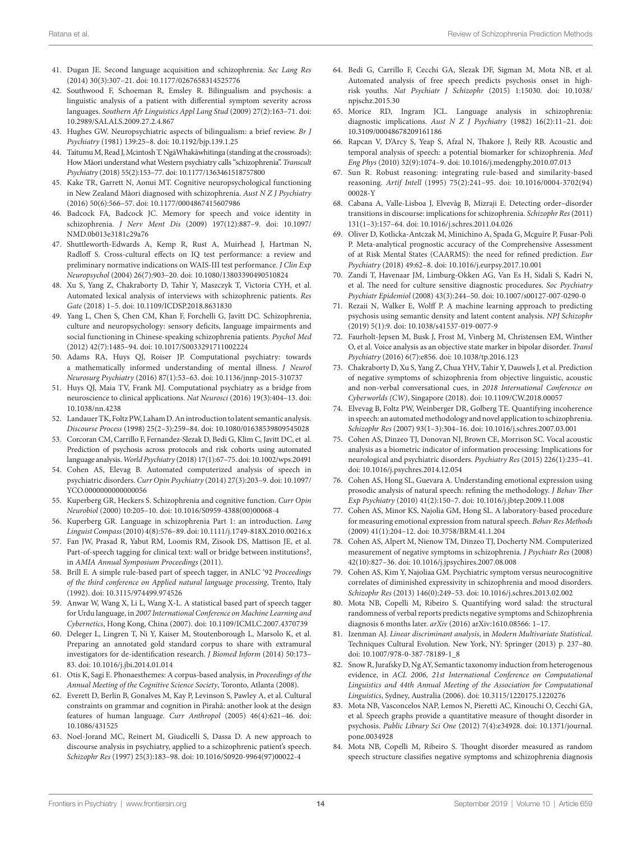- <span id="page-13-0"></span>41. Dugan JE. Second language acquisition and schizophrenia. *Sec Lang Res* (2014) 30(3):307–21. doi: [10.1177/0267658314525776](https://doi.org/10.1177/0267658314525776)
- <span id="page-13-1"></span>42. Southwood F, Schoeman R, Emsley R. Bilingualism and psychosis: a linguistic analysis of a patient with differential symptom severity across languages. *Southern Afr Linguistics Appl Lang Stud* (2009) 27(2):163–71. doi: [10.2989/SALALS.2009.27.2.4.867](https://doi.org/10.2989/SALALS.2009.27.2.4.867)
- <span id="page-13-2"></span>43. Hughes GW. Neuropsychiatric aspects of bilingualism: a brief review. *Br J Psychiatry* (1981) 139:25–8. doi: [10.1192/bjp.139.1.25](https://doi.org/10.1192/bjp.139.1.25)
- <span id="page-13-3"></span>44. Taitumu M, Read J, Mcintosh T. NgāWhakāwhitinga (standing at the crossroads): How Māori understand what Western psychiatry calls "schizophrenia". *Transcult Psychiatry* (2018) 55(2):153–77. doi: [10.1177/1363461518757800](https://doi.org/10.1177/1363461518757800)
- <span id="page-13-4"></span>45. Kake TR, Garrett N, Aonui MT. Cognitive neuropsychological functioning in New Zealand Māori diagnosed with schizophrenia. *Aust N Z J Psychiatry* (2016) 50(6):566–57. doi: [10.1177/0004867415607986](https://doi.org/10.1177/0004867415607986)
- <span id="page-13-5"></span>46. Badcock FA, Badcock JC. Memory for speech and voice identity in schizophrenia. *J Nerv Ment Dis* (2009) 197(12):887–9. doi: [10.1097/](https://doi.org/10.1097/NMD.0b013e3181c29a76) [NMD.0b013e3181c29a76](https://doi.org/10.1097/NMD.0b013e3181c29a76)
- <span id="page-13-6"></span>47. Shuttleworth-Edwards A, Kemp R, Rust A, Muirhead J, Hartman N, Radloff S. Cross-cultural effects on IQ test performance: a review and preliminary normative indications on WAIS-III test performance. *J Clin Exp Neuropsychol* (2004) 26(7):903–20. doi: [10.1080/13803390490510824](https://doi.org/10.1080/13803390490510824)
- <span id="page-13-7"></span>48. Xu S, Yang Z, Chakraborty D, Tahir Y, Maszczyk T, Victoria CYH, et al. Automated lexical analysis of interviews with schizophrenic patients. *Res Gate* (2018) 1–5. doi: [10.1109/ICDSP.2018.8631830](https://doi.org/10.1109/ICDSP.2018.8631830)
- <span id="page-13-8"></span>49. Yang L, Chen S, Chen CM, Khan F, Forchelli G, Javitt DC. Schizophrenia, culture and neuropsychology: sensory deficits, language impairments and social functioning in Chinese-speaking schizophrenia patients. *Psychol Med* (2012) 42(7):1485–94. doi: [10.1017/S0033291711002224](https://doi.org/10.1017/S0033291711002224)
- <span id="page-13-9"></span>50. Adams RA, Huys QJ, Roiser JP. Computational psychiatry: towards a mathematically informed understanding of mental illness. *J Neurol Neurosurg Psychiatry* (2016) 87(1):53–63. doi: [10.1136/jnnp-2015-310737](http://doi.org/10.1136/jnnp-2015-310737)
- <span id="page-13-10"></span>51. Huys QJ, Maia TV, Frank MJ. Computational psychiatry as a bridge from neuroscience to clinical applications. *Nat Neurosci* (2016) 19(3):404–13. doi: [10.1038/nn.4238](https://doi.org/10.1038/nn.4238)
- <span id="page-13-11"></span>52. Landauer TK, Foltz PW, Laham D. An introduction to latent semantic analysis. *Discourse Process* (1998) 25(2–3):259–84. doi: [10.1080/01638539809545028](https://doi.org/10.1080/01638539809545028)
- <span id="page-13-12"></span>53. Corcoran CM, Carrillo F, Fernandez-Slezak D, Bedi G, Klim C, Javitt DC, et al. Prediction of psychosis across protocols and risk cohorts using automated language analysis. *World Psychiatry* (2018) 17(1):67–75. doi: [10.1002/wps.20491](https://doi.org/10.1002/wps.20491)
- <span id="page-13-13"></span>54. Cohen AS, Elevag B. Automated computerized analysis of speech in psychiatric disorders. *Curr Opin Psychiatry* (2014) 27(3):203–9. doi: [10.1097/](https://doi.org/10.1097/YCO.0000000000000056) [YCO.0000000000000056](https://doi.org/10.1097/YCO.0000000000000056)
- <span id="page-13-14"></span>55. Kuperberg GR, Heckers S. Schizophrenia and cognitive function. *Curr Opin Neurobiol* (2000) 10:205–10. doi: [10.1016/S0959-4388\(00\)00068-4](https://doi.org/10.1016/S0959-4388(00)00068-4)
- <span id="page-13-15"></span>56. Kuperberg GR. Language in schizophrenia Part 1: an introduction. *Lang Linguist Compass* (2010) 4(8):576–89. doi: [10.1111/j.1749-818X.2010.00216.x](https://doi.org/10.1111/j.1749-818X.2010.00216.x)
- <span id="page-13-16"></span>57. Fan JW, Prasad R, Yabut RM, Loomis RM, Zisook DS, Mattison JE, et al. Part-of-speech tagging for clinical text: wall or bridge between institutions?, in *AMIA Annual Symposium Proceedings* (2011).
- <span id="page-13-17"></span>58. Brill E. A simple rule-based part of speech tagger, in ANLC '92 *Proceedings of the third conference on Applied natural language processing*, Trento, Italy (1992). doi: [10.3115/974499.974526](https://doi.org/10.3115/974499.974526)
- <span id="page-13-18"></span>59. Anwar W, Wang X, Li L, Wang X-L. A statistical based part of speech tagger for Urdu language, in *2007 International Conference on Machine Learning and Cybernetics*, Hong Kong, China (2007). doi: [10.1109/ICMLC.2007.4370739](https://doi.org/10.1109/ICMLC.2007.4370739)
- <span id="page-13-19"></span>60. Deleger L, Lingren T, Ni Y, Kaiser M, Stoutenborough L, Marsolo K, et al. Preparing an annotated gold standard corpus to share with extramural investigators for de-identification research. *J Biomed Inform* (2014) 50:173– 83. doi: [10.1016/j.jbi.2014.01.014](https://doi.org/10.1016/j.jbi.2014.01.014)
- <span id="page-13-20"></span>61. Otis K, Sagi E. Phonaesthemes: A corpus-based analysis, in *Proceedings of the Annual Meeting of the Cognitive Science Society*, Toronto, Atlanta (2008).
- <span id="page-13-21"></span>62. Everett D, Berlin B, Gonalves M, Kay P, Levinson S, Pawley A, et al. Cultural constraints on grammar and cognition in Pirahã: another look at the design features of human language. *Curr Anthropol* (2005) 46(4):621–46. doi: [10.1086/431525](https://doi.org/10.1086/431525)
- <span id="page-13-22"></span>63. Noel-Jorand MC, Reinert M, Giudicelli S, Dassa D. A new approach to discourse analysis in psychiatry, applied to a schizophrenic patient's speech. *Schizophr Res* (1997) 25(3):183–98. doi: [10.1016/S0920-9964\(97\)00022-4](https://doi.org/10.1016/S0920-9964(97)00022-4)
- <span id="page-13-23"></span>64. Bedi G, Carrillo F, Cecchi GA, Slezak DF, Sigman M, Mota NB, et al. Automated analysis of free speech predicts psychosis onset in highrisk youths. *Nat Psychiatr J Schizophr* (2015) 1:15030. doi: [10.1038/](https://doi.org/10.1038/npjschz.2015.30) [npjschz.2015.30](https://doi.org/10.1038/npjschz.2015.30)
- <span id="page-13-24"></span>65. Morice RD, Ingram JCL. Language analysis in schizophrenia: diagnostic implications. *Aust N Z J Psychiatry* (1982) 16(2):11–21. doi: [10.3109/00048678209161186](https://doi.org/10.3109/00048678209161186)
- <span id="page-13-25"></span>66. Rapcan V, D'Arcy S, Yeap S, Afzal N, Thakore J, Reily RB. Acoustic and temporal analysis of speech: a potential biomarker for schizophrenia. *Med Eng Phys* (2010) 32(9):1074–9. doi: [10.1016/j.medengphy.2010.07.013](https://doi.org/10.1016/j.medengphy.2010.07.013)
- 67. Sun R. Robust reasoning: integrating rule-based and similarity-based reasoning. *Artif Intell* (1995) 75(2):241–95. doi: [10.1016/0004-3702\(94\)](https://doi.org/10.1016/0004-3702(94)00028-Y) [00028-Y](https://doi.org/10.1016/0004-3702(94)00028-Y)
- <span id="page-13-26"></span>68. Cabana A, Valle-Lisboa J, Elvevåg B, Mizraji E. Detecting order–disorder transitions in discourse: implications for schizophrenia. *Schizophr Res* (2011) 131(1–3):157–64. doi: [10.1016/j.schres.2011.04.026](https://doi.org/10.1016/j.schres.2011.04.026)
- <span id="page-13-27"></span>69. Oliver D, Kotlicka-Antczak M, Minichino A, Spada G, Mcguire P, Fusar-Poli P. Meta-analytical prognostic accuracy of the Comprehensive Assessment of at Risk Mental States (CAARMS): the need for refined prediction. *Eur Psychiatry* (2018) 49:62–8. doi: [10.1016/j.eurpsy.2017.10.001](https://doi.org/10.1016/j.eurpsy.2017.10.001)
- <span id="page-13-28"></span>70. Zandi T, Havenaar JM, Limburg-Okken AG, Van Es H, Sidali S, Kadri N, et al. The need for culture sensitive diagnostic procedures. *Soc Psychiatry Psychiatr Epidemiol* (2008) 43(3):244–50. doi: [10.1007/s00127-007-0290-0](https://doi.org/10.1007/s00127-007-0290-0)
- <span id="page-13-29"></span>71. Rezaii N, Walker E, Wolff P. A machine learning approach to predicting psychosis using semantic density and latent content analysis. *NPJ Schizophr* (2019) 5(1):9. doi: [10.1038/s41537-019-0077-9](https://doi.org/10.1038/s41537-019-0077-9)
- <span id="page-13-30"></span>72. Faurholt-Jepsen M, Busk J, Frost M, Vinberg M, Christensen EM, Winther O, et al. Voice analysis as an objective state marker in bipolar disorder. *Transl Psychiatry* (2016) 6(7):e856. doi: [10.1038/tp.2016.123](https://doi.org/10.1038/tp.2016.123)
- <span id="page-13-31"></span>73. Chakraborty D, Xu S, Yang Z, Chua YHV, Tahir Y, Dauwels J, et al. Prediction of negative symptoms of schizophrenia from objective linguistic, acoustic and non-verbal conversational cues, in *2018 International Conference on Cyberworlds (CW)*, Singapore (2018). doi: [10.1109/CW.2018.00057](https://doi.org/10.1109/CW.2018.00057)
- <span id="page-13-32"></span>74. Elvevag B, Foltz PW, Weinberger DR, Golberg TE. Quantifying incoherence in speech: an automated methodology and novel application to schizophrenia. *Schizophr Res* (2007) 93(1–3):304–16. doi: [10.1016/j.schres.2007.03.001](https://doi.org/10.1016/j.schres.2007.03.001)
- <span id="page-13-33"></span>75. Cohen AS, Dinzeo TJ, Donovan NJ, Brown CE, Morrison SC. Vocal acoustic analysis as a biometric indicator of information processing: Implications for neurological and psychiatric disorders. *Psychiatry Res* (2015) 226(1):235–41. doi: [10.1016/j.psychres.2014.12.054](https://doi.org/10.1016/j.psychres.2014.12.054)
- <span id="page-13-34"></span>76. Cohen AS, Hong SL, Guevara A. Understanding emotional expression using prosodic analysis of natural speech: refining the methodology. *J Behav Ther Exp Psychiatry* (2010) 41(2):150–7. doi: [10.1016/j.jbtep.2009.11.008](https://doi.org/10.1016/j.jbtep.2009.11.008)
- <span id="page-13-35"></span>77. Cohen AS, Minor KS, Najolia GM, Hong SL. A laboratory-based procedure for measuring emotional expression from natural speech. *Behav Res Methods* (2009) 41(1):204–12. doi: [10.3758/BRM.41.1.204](https://doi.org/10.3758/BRM.41.1.204)
- <span id="page-13-36"></span>78. Cohen AS, Alpert M, Nienow TM, Dinzeo TJ, Docherty NM. Computerized measurement of negative symptoms in schizophrenia. *J Psychiatr Res* (2008) 42(10):827–36. doi: [10.1016/j.jpsychires.2007.08.008](https://doi.org/10.1016/j.jpsychires.2007.08.008)
- <span id="page-13-37"></span>79. Cohen AS, Kim Y, Najoliaa GM. Psychiatric symptom versus neurocognitive correlates of diminished expressivity in schizophrenia and mood disorders. *Schizophr Res* (2013) 146(0):249–53. doi: [10.1016/j.schres.2013.02.002](https://doi.org/10.1016/j.schres.2013.02.002)
- <span id="page-13-38"></span>80. Mota NB, Copelli M, Ribeiro S. Quantifying word salad: the structural randomness of verbal reports predicts negative symptoms and Schizophrenia diagnosis 6 months later. *arXiv* (2016) arXiv:1610.08566: 1–17.
- <span id="page-13-39"></span>81. Izenman AJ. *Linear discriminant analysis*, in *Modern Multivariate Statistical*. Techniques Cultural Evolution. New York, NY: Springer (2013) p. 237–80. doi: [10.1007/978-0-387-78189-1\\_8](https://doi.org/10.1007/978-0-387-78189-1_8)
- <span id="page-13-40"></span>82. Snow R, Jurafsky D, Ng AY, Semantic taxonomy induction from heterogenous evidence, in *ACL 2006, 21st International Conference on Computational Linguistics and 44th Annual Meeting of the Association for Computational Linguistics*, Sydney, Australia (2006). doi: [10.3115/1220175.1220276](https://doi.org/10.3115/1220175.1220276)
- <span id="page-13-41"></span>83. Mota NB, Vasconcelos NAP, Lemos N, Pieretti AC, Kinouchi O, Cecchi GA, et al. Speech graphs provide a quantitative measure of thought disorder in psychosis. *Public Library Sci One* (2012) 7(4):e34928. doi: [10.1371/journal.](https://doi.org/10.1371/journal.pone.0034928) [pone.0034928](https://doi.org/10.1371/journal.pone.0034928)
- <span id="page-13-42"></span>84. Mota NB, Copelli M, Ribeiro S. Thought disorder measured as random speech structure classifies negative symptoms and schizophrenia diagnosis